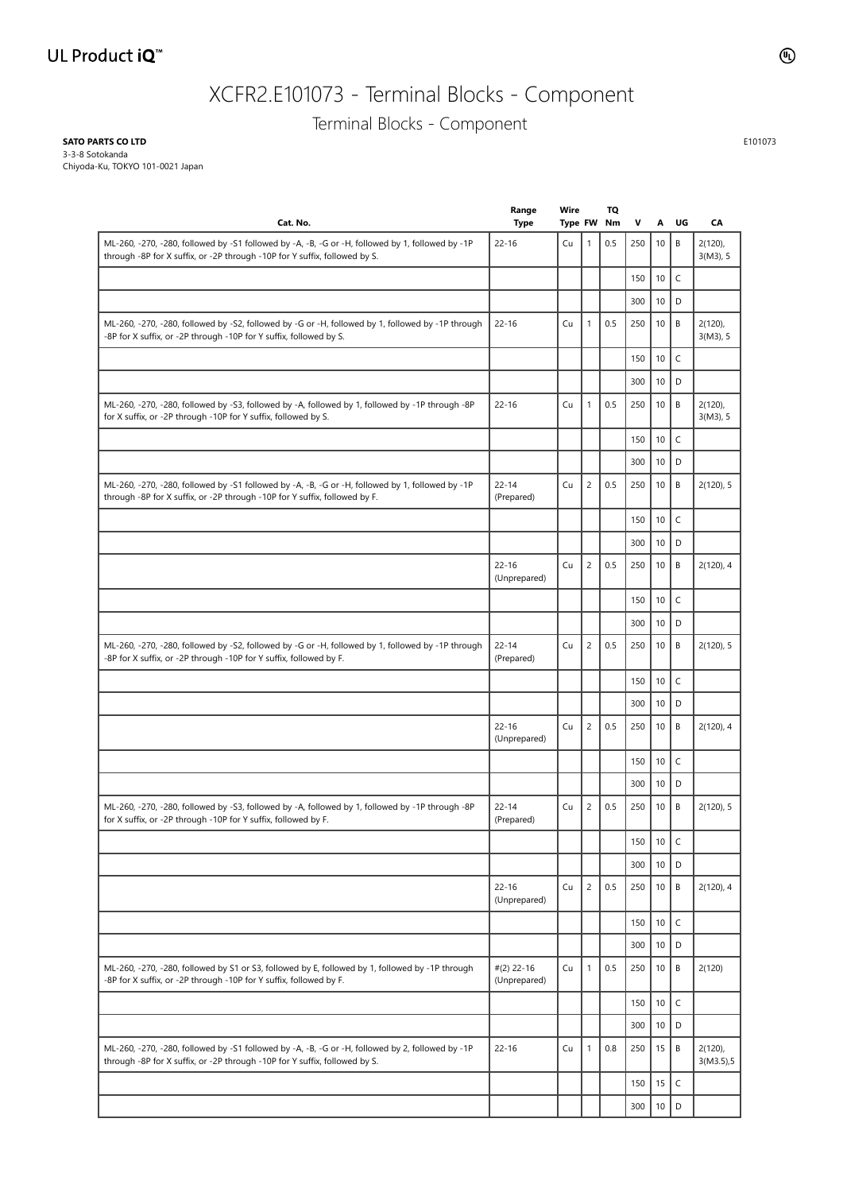# XCFR2.E101073 - Terminal Blocks - Component

Terminal Blocks - Component

**SATO PARTS CO LTD**

3-3-8 Sotokanda Chiyoda-Ku, TOKYO 101-0021 Japan

| Cat. No.                                                                                                                                                                       | Range<br><b>Type</b>         | Wire<br>Type FW |                | TQ<br>Nm | V   | Α    | UG          | CA                        |
|--------------------------------------------------------------------------------------------------------------------------------------------------------------------------------|------------------------------|-----------------|----------------|----------|-----|------|-------------|---------------------------|
| ML-260, -270, -280, followed by -S1 followed by -A, -B, -G or -H, followed by 1, followed by -1P<br>through -8P for X suffix, or -2P through -10P for Y suffix, followed by S. | $22 - 16$                    | Cu              | 1              | 0.5      | 250 | 10   | B           | $2(120)$ ,<br>$3(M3)$ , 5 |
|                                                                                                                                                                                |                              |                 |                |          | 150 | 10   | $\mathsf C$ |                           |
|                                                                                                                                                                                |                              |                 |                |          | 300 | 10   | D           |                           |
| ML-260, -270, -280, followed by -S2, followed by -G or -H, followed by 1, followed by -1P through<br>-8P for X suffix, or -2P through -10P for Y suffix, followed by S.        | $22 - 16$                    | Cu              | 1              | 0.5      | 250 | 10   | B           | $2(120)$ ,<br>$3(M3)$ , 5 |
|                                                                                                                                                                                |                              |                 |                |          | 150 | 10   | $\mathsf C$ |                           |
|                                                                                                                                                                                |                              |                 |                |          | 300 | 10   | D           |                           |
| ML-260, -270, -280, followed by -S3, followed by -A, followed by 1, followed by -1P through -8P<br>for X suffix, or -2P through -10P for Y suffix, followed by S.              | $22 - 16$                    | Cu              | $\mathbf{1}$   | 0.5      | 250 | 10   | B           | $2(120)$ ,<br>$3(M3)$ , 5 |
|                                                                                                                                                                                |                              |                 |                |          | 150 | 10   | $\mathsf C$ |                           |
|                                                                                                                                                                                |                              |                 |                |          | 300 | 10   | D           |                           |
| ML-260, -270, -280, followed by -S1 followed by -A, -B, -G or -H, followed by 1, followed by -1P<br>through -8P for X suffix, or -2P through -10P for Y suffix, followed by F. | $22 - 14$<br>(Prepared)      | Cu              | $\overline{c}$ | 0.5      | 250 | 10   | B           | 2(120), 5                 |
|                                                                                                                                                                                |                              |                 |                |          | 150 | 10   | $\mathsf C$ |                           |
|                                                                                                                                                                                |                              |                 |                |          | 300 | 10   | D           |                           |
|                                                                                                                                                                                | $22 - 16$<br>(Unprepared)    | Cu              | $\overline{c}$ | 0.5      | 250 | 10   | B           | 2(120), 4                 |
|                                                                                                                                                                                |                              |                 |                |          | 150 | 10   | $\mathsf C$ |                           |
|                                                                                                                                                                                |                              |                 |                |          | 300 | 10   | D           |                           |
| ML-260, -270, -280, followed by -S2, followed by -G or -H, followed by 1, followed by -1P through<br>-8P for X suffix, or -2P through -10P for Y suffix, followed by F.        | $22 - 14$<br>(Prepared)      | Cu              | $\overline{c}$ | 0.5      | 250 | 10   | B           | 2(120), 5                 |
|                                                                                                                                                                                |                              |                 |                |          | 150 | 10   | $\mathsf C$ |                           |
|                                                                                                                                                                                |                              |                 |                |          | 300 | 10   | D           |                           |
|                                                                                                                                                                                | $22 - 16$<br>(Unprepared)    | Cu              | $\overline{c}$ | 0.5      | 250 | 10   | B           | 2(120), 4                 |
|                                                                                                                                                                                |                              |                 |                |          | 150 | 10   | $\mathsf C$ |                           |
|                                                                                                                                                                                |                              |                 |                |          | 300 | 10   | D           |                           |
| ML-260, -270, -280, followed by -S3, followed by -A, followed by 1, followed by -1P through -8P<br>for X suffix, or -2P through -10P for Y suffix, followed by F.              | $22 - 14$<br>(Prepared)      | Cu              | $\overline{c}$ | 0.5      | 250 | 10   | B           | 2(120), 5                 |
|                                                                                                                                                                                |                              |                 |                |          | 150 | 10   | $\mathsf C$ |                           |
|                                                                                                                                                                                |                              |                 |                |          | 300 | 10   | D           |                           |
|                                                                                                                                                                                | $22 - 16$<br>(Unprepared)    | Cu              | $\overline{c}$ | 0.5      | 250 | 10   | B           | 2(120), 4                 |
|                                                                                                                                                                                |                              |                 |                |          | 150 | 10   | $\mathsf C$ |                           |
|                                                                                                                                                                                |                              |                 |                |          | 300 | 10   | D           |                           |
| ML-260, -270, -280, followed by S1 or S3, followed by E, followed by 1, followed by -1P through<br>-8P for X suffix, or -2P through -10P for Y suffix, followed by F.          | $#(2)$ 22-16<br>(Unprepared) | Cu              | $\mathbf{1}$   | 0.5      | 250 | 10   | B           | 2(120)                    |
|                                                                                                                                                                                |                              |                 |                |          | 150 | 10   | $\mathsf C$ |                           |
|                                                                                                                                                                                |                              |                 |                |          | 300 | 10   | D           |                           |
| ML-260, -270, -280, followed by -S1 followed by -A, -B, -G or -H, followed by 2, followed by -1P<br>through -8P for X suffix, or -2P through -10P for Y suffix, followed by S. | $22 - 16$                    | Cu              | 1              | 0.8      | 250 | 15   | B           | $2(120)$ ,<br>3(M3.5),5   |
|                                                                                                                                                                                |                              |                 |                |          | 150 | 15   | $\mathsf C$ |                           |
|                                                                                                                                                                                |                              |                 |                |          | 300 | $10$ | D           |                           |

E101073

l.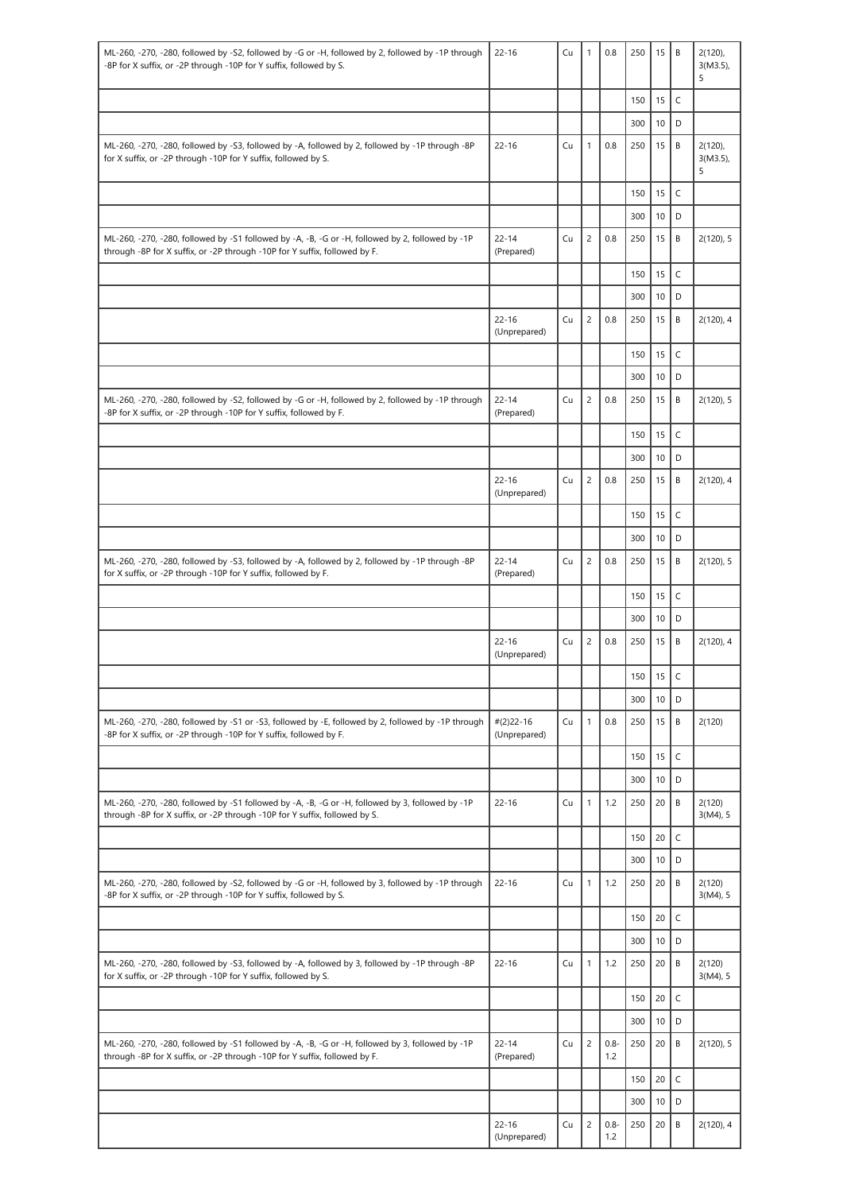| ML-260, -270, -280, followed by -S2, followed by -G or -H, followed by 2, followed by -1P through<br>-8P for X suffix, or -2P through -10P for Y suffix, followed by S.        | $22 - 16$                    | Cu | 1              | 0.8            | 250        | 15       | B                | $2(120)$ .<br>$3(M3.5)$ ,<br>5 |
|--------------------------------------------------------------------------------------------------------------------------------------------------------------------------------|------------------------------|----|----------------|----------------|------------|----------|------------------|--------------------------------|
|                                                                                                                                                                                |                              |    |                |                | 150        | 15       | $\mathsf C$      |                                |
|                                                                                                                                                                                |                              |    |                |                | 300        | 10       | D                |                                |
| ML-260, -270, -280, followed by -S3, followed by -A, followed by 2, followed by -1P through -8P<br>for X suffix, or -2P through -10P for Y suffix, followed by S.              | $22 - 16$                    | Cu | $\mathbf{1}$   | 0.8            | 250        | 15       | B                | $2(120)$ ,<br>$3(M3.5)$ ,<br>5 |
|                                                                                                                                                                                |                              |    |                |                | 150        | 15       | $\mathsf C$      |                                |
|                                                                                                                                                                                |                              |    |                |                | 300        | 10       | D                |                                |
| ML-260, -270, -280, followed by -S1 followed by -A, -B, -G or -H, followed by 2, followed by -1P<br>through -8P for X suffix, or -2P through -10P for Y suffix, followed by F. | $22 - 14$<br>(Prepared)      | Cu | $\overline{c}$ | 0.8            | 250        | 15       | B                | 2(120), 5                      |
|                                                                                                                                                                                |                              |    |                |                | 150        | 15       | $\mathsf C$      |                                |
|                                                                                                                                                                                |                              |    |                |                | 300        | 10       | D                |                                |
|                                                                                                                                                                                | $22 - 16$<br>(Unprepared)    | Cu | $\overline{c}$ | 0.8            | 250<br>150 | 15<br>15 | B<br>$\mathsf C$ | 2(120), 4                      |
|                                                                                                                                                                                |                              |    |                |                | 300        | 10       | D                |                                |
|                                                                                                                                                                                | $22 - 14$                    | Cu | $\overline{c}$ | 0.8            | 250        | 15       | B                | 2(120), 5                      |
| ML-260, -270, -280, followed by -S2, followed by -G or -H, followed by 2, followed by -1P through<br>-8P for X suffix, or -2P through -10P for Y suffix, followed by F.        | (Prepared)                   |    |                |                |            |          |                  |                                |
|                                                                                                                                                                                |                              |    |                |                | 150        | 15       | $\mathsf C$      |                                |
|                                                                                                                                                                                |                              |    |                |                | 300        | 10       | D                |                                |
|                                                                                                                                                                                | $22 - 16$<br>(Unprepared)    | Cu | $\overline{c}$ | 0.8            | 250        | 15       | B                | 2(120), 4                      |
|                                                                                                                                                                                |                              |    |                |                | 150        | 15       | $\mathsf C$      |                                |
|                                                                                                                                                                                |                              |    |                |                | 300        | 10       | D                |                                |
| ML-260, -270, -280, followed by -S3, followed by -A, followed by 2, followed by -1P through -8P<br>for X suffix, or -2P through -10P for Y suffix, followed by F.              | $22 - 14$<br>(Prepared)      | Cu | $\overline{c}$ | 0.8            | 250        | 15       | B                | 2(120), 5                      |
|                                                                                                                                                                                |                              |    |                |                | 150        | 15       | $\mathsf C$      |                                |
|                                                                                                                                                                                |                              |    |                |                | 300        | 10       | D                |                                |
|                                                                                                                                                                                | $22 - 16$<br>(Unprepared)    | Cu | $\overline{c}$ | 0.8            | 250        | 15       | B                | 2(120), 4                      |
|                                                                                                                                                                                |                              |    |                |                | 150        | 15       | C                |                                |
|                                                                                                                                                                                |                              | Cu | $\mathbf{1}$   | 0.8            | 300        | 10<br>15 | D<br>B           |                                |
| ML-260, -270, -280, followed by -S1 or -S3, followed by -E, followed by 2, followed by -1P through<br>-8P for X suffix, or -2P through -10P for Y suffix, followed by F.       | $#(2)$ 22-16<br>(Unprepared) |    |                |                | 250<br>150 | 15       | $\mathsf C$      | 2(120)                         |
|                                                                                                                                                                                |                              |    |                |                | 300        | 10       | D                |                                |
| ML-260, -270, -280, followed by -S1 followed by -A, -B, -G or -H, followed by 3, followed by -1P<br>through -8P for X suffix, or -2P through -10P for Y suffix, followed by S. | $22 - 16$                    | Cu | $\mathbf{1}$   | 1.2            | 250        | 20       | B                | 2(120)<br>$3(M4)$ , 5          |
|                                                                                                                                                                                |                              |    |                |                | 150        | 20       | $\mathsf{C}$     |                                |
|                                                                                                                                                                                |                              |    |                |                | 300        | 10       | D                |                                |
| ML-260, -270, -280, followed by -S2, followed by -G or -H, followed by 3, followed by -1P through<br>-8P for X suffix, or -2P through -10P for Y suffix, followed by S.        | $22 - 16$                    | Cu | 1              | 1.2            | 250        | 20       | B                | 2(120)<br>$3(M4)$ , 5          |
|                                                                                                                                                                                |                              |    |                |                | 150        | 20       | $\mathsf{C}$     |                                |
|                                                                                                                                                                                |                              |    |                |                | 300        | 10       | D                |                                |
| ML-260, -270, -280, followed by -S3, followed by -A, followed by 3, followed by -1P through -8P<br>for X suffix, or -2P through -10P for Y suffix, followed by S.              | $22 - 16$                    | Cu | $\mathbf{1}$   | 1.2            | 250        | 20       | B                | 2(120)<br>$3(M4)$ , 5          |
|                                                                                                                                                                                |                              |    |                |                | 150        | 20       | $\mathsf C$      |                                |
|                                                                                                                                                                                |                              |    |                |                | 300        | 10       | D                |                                |
| ML-260, -270, -280, followed by -S1 followed by -A, -B, -G or -H, followed by 3, followed by -1P<br>through -8P for X suffix, or -2P through -10P for Y suffix, followed by F. | $22 - 14$<br>(Prepared)      | Cu | $\overline{c}$ | $0.8 -$<br>1.2 | 250        | 20       | B                | 2(120), 5                      |
|                                                                                                                                                                                |                              |    |                |                | 150        | 20       | $\mathsf{C}$     |                                |
|                                                                                                                                                                                |                              |    |                |                | 300        | 10       | D                |                                |
|                                                                                                                                                                                | $22 - 16$<br>(Unprepared)    | Cu | $\overline{c}$ | $0.8 -$<br>1.2 | 250        | 20       | B                | 2(120), 4                      |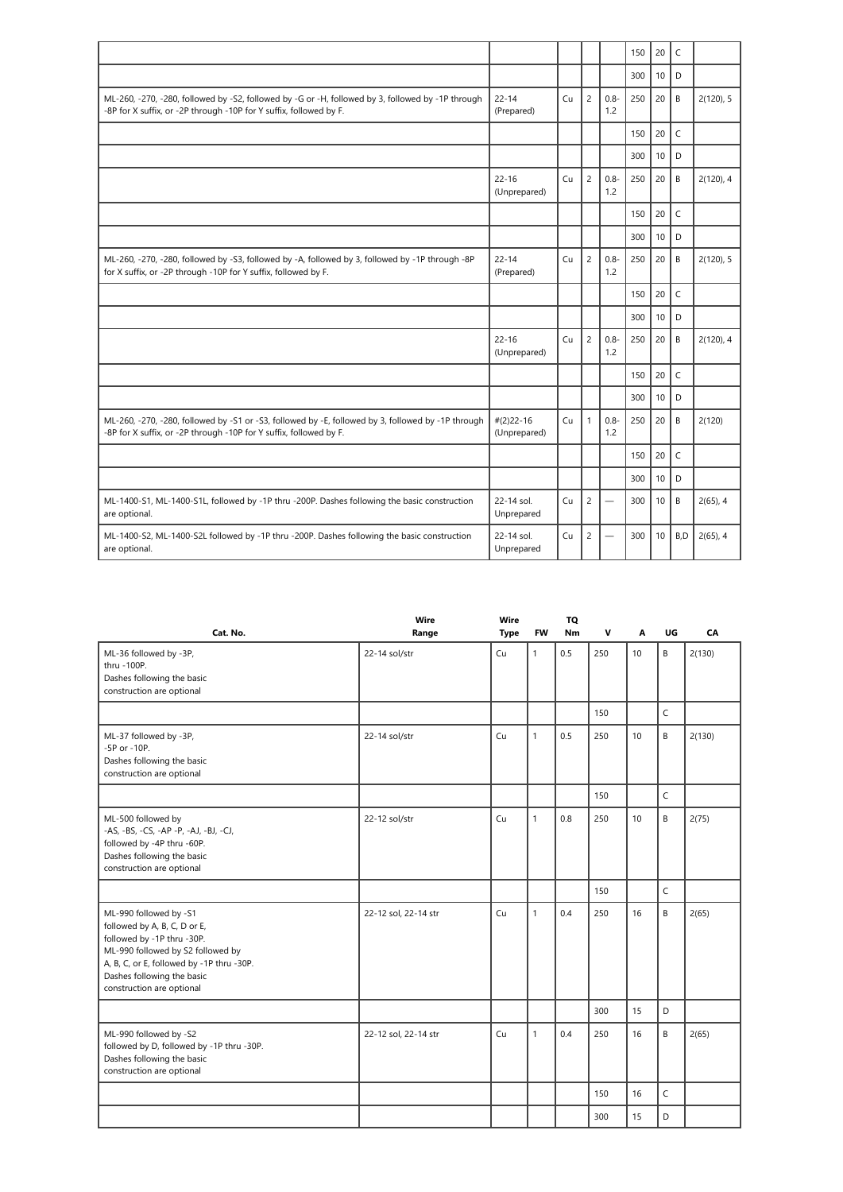|                                                                                                                                                                          |                              |    |                |                | 150 | 20 | C            |             |
|--------------------------------------------------------------------------------------------------------------------------------------------------------------------------|------------------------------|----|----------------|----------------|-----|----|--------------|-------------|
|                                                                                                                                                                          |                              |    |                |                | 300 | 10 | D            |             |
| ML-260, -270, -280, followed by -S2, followed by -G or -H, followed by 3, followed by -1P through<br>-8P for X suffix, or -2P through -10P for Y suffix, followed by F.  | $22 - 14$<br>(Prepared)      | Cu | $\overline{c}$ | $0.8 -$<br>1.2 | 250 | 20 | B            | 2(120), 5   |
|                                                                                                                                                                          |                              |    |                |                | 150 | 20 | $\mathsf{C}$ |             |
|                                                                                                                                                                          |                              |    |                |                | 300 | 10 | D            |             |
|                                                                                                                                                                          | $22 - 16$<br>(Unprepared)    | Cu | $\overline{c}$ | $0.8 -$<br>1.2 | 250 | 20 | B            | 2(120), 4   |
|                                                                                                                                                                          |                              |    |                |                | 150 | 20 | $\mathsf{C}$ |             |
|                                                                                                                                                                          |                              |    |                |                | 300 | 10 | D            |             |
| ML-260, -270, -280, followed by -S3, followed by -A, followed by 3, followed by -1P through -8P<br>for X suffix, or -2P through -10P for Y suffix, followed by F.        | $22 - 14$<br>(Prepared)      | Cu | $\overline{c}$ | $0.8 -$<br>1.2 | 250 | 20 | B            | 2(120), 5   |
|                                                                                                                                                                          |                              |    |                |                | 150 | 20 | $\mathsf{C}$ |             |
|                                                                                                                                                                          |                              |    |                |                | 300 | 10 | D            |             |
|                                                                                                                                                                          | $22 - 16$<br>(Unprepared)    | Cu | $\overline{c}$ | $0.8 -$<br>1.2 | 250 | 20 | B            | 2(120), 4   |
|                                                                                                                                                                          |                              |    |                |                | 150 | 20 | $\mathsf{C}$ |             |
|                                                                                                                                                                          |                              |    |                |                | 300 | 10 | D            |             |
| ML-260, -270, -280, followed by -S1 or -S3, followed by -E, followed by 3, followed by -1P through<br>-8P for X suffix, or -2P through -10P for Y suffix, followed by F. | $#(2)$ 22-16<br>(Unprepared) | Cu | $\mathbf{1}$   | $0.8 -$<br>1.2 | 250 | 20 | B            | 2(120)      |
|                                                                                                                                                                          |                              |    |                |                | 150 | 20 | $\mathsf{C}$ |             |
|                                                                                                                                                                          |                              |    |                |                | 300 | 10 | D            |             |
| ML-1400-S1, ML-1400-S1L, followed by -1P thru -200P. Dashes following the basic construction<br>are optional.                                                            | 22-14 sol.<br>Unprepared     | Cu | $\overline{c}$ |                | 300 | 10 | B            | $2(65)$ , 4 |
| ML-1400-S2, ML-1400-S2L followed by -1P thru -200P. Dashes following the basic construction<br>are optional.                                                             | 22-14 sol.<br>Unprepared     | Cu | $\overline{c}$ |                | 300 | 10 | B,D          | $2(65)$ , 4 |

| Cat. No.                                                                                                                                                                                                                          | Wire<br>Range        | Wire<br><b>Type</b> | <b>FW</b>    | TQ<br><b>Nm</b> | v   | А               | UG | CA     |
|-----------------------------------------------------------------------------------------------------------------------------------------------------------------------------------------------------------------------------------|----------------------|---------------------|--------------|-----------------|-----|-----------------|----|--------|
| ML-36 followed by -3P,<br>thru -100P.<br>Dashes following the basic<br>construction are optional                                                                                                                                  | 22-14 sol/str        | Cu                  | $\mathbf{1}$ | 0.5             | 250 | 10 <sup>1</sup> | B  | 2(130) |
|                                                                                                                                                                                                                                   |                      |                     |              |                 | 150 |                 | C  |        |
| ML-37 followed by -3P,<br>-5P or -10P.<br>Dashes following the basic<br>construction are optional                                                                                                                                 | 22-14 sol/str        | Cu                  | $\mathbf{1}$ | 0.5             | 250 | 10              | B  | 2(130) |
|                                                                                                                                                                                                                                   |                      |                     |              |                 | 150 |                 | C  |        |
| ML-500 followed by<br>-AS, -BS, -CS, -AP -P, -AJ, -BJ, -CJ,<br>followed by -4P thru -60P.<br>Dashes following the basic<br>construction are optional                                                                              | 22-12 sol/str        | Cu                  | $\mathbf{1}$ | 0.8             | 250 | 10              | B  | 2(75)  |
|                                                                                                                                                                                                                                   |                      |                     |              |                 | 150 |                 | C  |        |
| ML-990 followed by -S1<br>followed by A, B, C, D or E,<br>followed by -1P thru -30P.<br>ML-990 followed by S2 followed by<br>A, B, C, or E, followed by -1P thru -30P.<br>Dashes following the basic<br>construction are optional | 22-12 sol, 22-14 str | Cu                  | $\mathbf{1}$ | 0.4             | 250 | 16              | B  | 2(65)  |
|                                                                                                                                                                                                                                   |                      |                     |              |                 | 300 | 15              | D  |        |
| ML-990 followed by -S2<br>followed by D, followed by -1P thru -30P.<br>Dashes following the basic<br>construction are optional                                                                                                    | 22-12 sol, 22-14 str | Cu                  | $\mathbf{1}$ | 0.4             | 250 | 16              | B  | 2(65)  |
|                                                                                                                                                                                                                                   |                      |                     |              |                 | 150 | 16              | C  |        |
|                                                                                                                                                                                                                                   |                      |                     |              |                 | 300 | 15              | D  |        |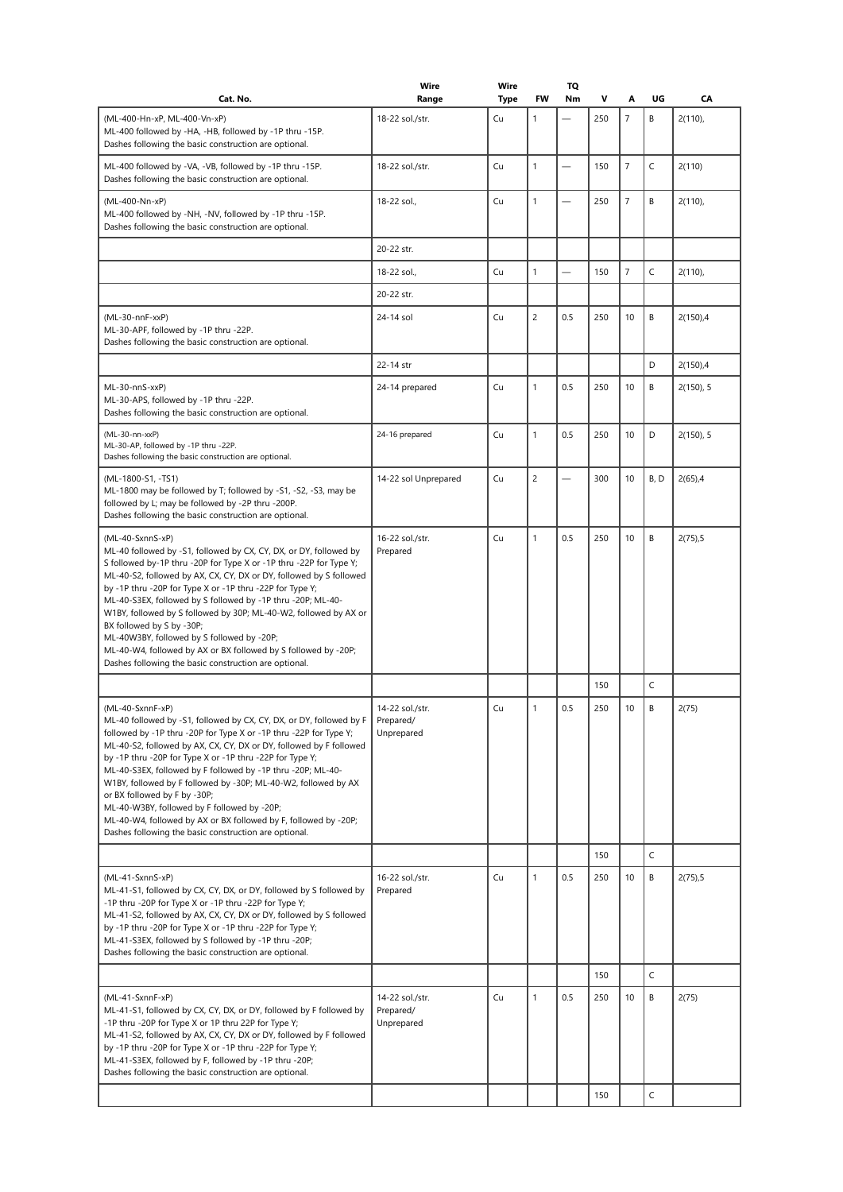| Cat. No.                                                                                                                                                                                                                                                                                                                                                                                                                                                                                                                                                                                                                                   | Wire<br>Range                              | Wire<br>Type | FW             | TQ<br>Nm                 | v          | Α              | UG     | CA          |
|--------------------------------------------------------------------------------------------------------------------------------------------------------------------------------------------------------------------------------------------------------------------------------------------------------------------------------------------------------------------------------------------------------------------------------------------------------------------------------------------------------------------------------------------------------------------------------------------------------------------------------------------|--------------------------------------------|--------------|----------------|--------------------------|------------|----------------|--------|-------------|
| (ML-400-Hn-xP, ML-400-Vn-xP)<br>ML-400 followed by -HA, -HB, followed by -1P thru -15P.<br>Dashes following the basic construction are optional.                                                                                                                                                                                                                                                                                                                                                                                                                                                                                           | 18-22 sol./str.                            | Cu           | 1              |                          | 250        | $\overline{7}$ | B      | 2(110)      |
| ML-400 followed by -VA, -VB, followed by -1P thru -15P.<br>Dashes following the basic construction are optional.                                                                                                                                                                                                                                                                                                                                                                                                                                                                                                                           | 18-22 sol./str.                            | Cu           | $\mathbf{1}$   |                          | 150        | $\overline{7}$ | C      | 2(110)      |
| (ML-400-Nn-xP)<br>ML-400 followed by -NH, -NV, followed by -1P thru -15P.<br>Dashes following the basic construction are optional.                                                                                                                                                                                                                                                                                                                                                                                                                                                                                                         | 18-22 sol.,                                | Cu           | 1              |                          | 250        | $\overline{7}$ | B      | 2(110)      |
|                                                                                                                                                                                                                                                                                                                                                                                                                                                                                                                                                                                                                                            | 20-22 str.                                 |              |                |                          |            |                |        |             |
|                                                                                                                                                                                                                                                                                                                                                                                                                                                                                                                                                                                                                                            | 18-22 sol.,                                | Cu           | 1              | $\overline{\phantom{0}}$ | 150        | $\overline{7}$ | C      | $2(110)$ ,  |
|                                                                                                                                                                                                                                                                                                                                                                                                                                                                                                                                                                                                                                            | 20-22 str.                                 |              |                |                          |            |                |        |             |
| (ML-30-nnF-xxP)<br>ML-30-APF, followed by -1P thru -22P.<br>Dashes following the basic construction are optional.                                                                                                                                                                                                                                                                                                                                                                                                                                                                                                                          | 24-14 sol                                  | Cu           | $\overline{c}$ | 0.5                      | 250        | 10             | B      | 2(150),4    |
|                                                                                                                                                                                                                                                                                                                                                                                                                                                                                                                                                                                                                                            | 22-14 str                                  |              |                |                          |            |                | D      | $2(150)$ ,4 |
| ML-30-nnS-xxP)<br>ML-30-APS, followed by -1P thru -22P.<br>Dashes following the basic construction are optional.                                                                                                                                                                                                                                                                                                                                                                                                                                                                                                                           | 24-14 prepared                             | Cu           | 1              | 0.5                      | 250        | 10             | B      | 2(150), 5   |
| (ML-30-nn-xxP)<br>ML-30-AP, followed by -1P thru -22P.<br>Dashes following the basic construction are optional.                                                                                                                                                                                                                                                                                                                                                                                                                                                                                                                            | 24-16 prepared                             | Cu           | $\mathbf{1}$   | 0.5                      | 250        | 10             | D      | 2(150), 5   |
| (ML-1800-S1, -TS1)<br>ML-1800 may be followed by T; followed by -S1, -S2, -S3, may be<br>followed by L; may be followed by -2P thru -200P.<br>Dashes following the basic construction are optional.                                                                                                                                                                                                                                                                                                                                                                                                                                        | 14-22 sol Unprepared                       | Cu           | $\overline{c}$ |                          | 300        | 10             | B, D   | $2(65)$ ,4  |
| (ML-40-SxnnS-xP)<br>ML-40 followed by -S1, followed by CX, CY, DX, or DY, followed by<br>S followed by-1P thru -20P for Type X or -1P thru -22P for Type Y;<br>ML-40-S2, followed by AX, CX, CY, DX or DY, followed by S followed<br>by -1P thru -20P for Type X or -1P thru -22P for Type Y;<br>ML-40-S3EX, followed by S followed by -1P thru -20P; ML-40-<br>W1BY, followed by S followed by 30P; ML-40-W2, followed by AX or<br>BX followed by S by -30P;<br>ML-40W3BY, followed by S followed by -20P;<br>ML-40-W4, followed by AX or BX followed by S followed by -20P;<br>Dashes following the basic construction are optional.     | 16-22 sol./str.<br>Prepared                | Cu           | $\mathbf{1}$   | 0.5                      | 250        | 10             | B      | 2(75),5     |
|                                                                                                                                                                                                                                                                                                                                                                                                                                                                                                                                                                                                                                            |                                            |              |                |                          | 150        |                | C      |             |
| (ML-40-SxnnF-xP)<br>ML-40 followed by -S1, followed by CX, CY, DX, or DY, followed by F<br>followed by -1P thru -20P for Type X or -1P thru -22P for Type Y;<br>ML-40-S2, followed by AX, CX, CY, DX or DY, followed by F followed<br>by -1P thru -20P for Type X or -1P thru -22P for Type Y;<br>ML-40-S3EX, followed by F followed by -1P thru -20P; ML-40-<br>W1BY, followed by F followed by -30P; ML-40-W2, followed by AX<br>or BX followed by F by -30P;<br>ML-40-W3BY, followed by F followed by -20P;<br>ML-40-W4, followed by AX or BX followed by F, followed by -20P;<br>Dashes following the basic construction are optional. | 14-22 sol./str.<br>Prepared/<br>Unprepared | Cu           | $\mathbf{1}$   | 0.5                      | 250        | 10             | B      | 2(75)       |
|                                                                                                                                                                                                                                                                                                                                                                                                                                                                                                                                                                                                                                            |                                            |              |                |                          | 150        |                | C      |             |
| (ML-41-SxnnS-xP)<br>ML-41-S1, followed by CX, CY, DX, or DY, followed by S followed by<br>-1P thru -20P for Type X or -1P thru -22P for Type Y;<br>ML-41-S2, followed by AX, CX, CY, DX or DY, followed by S followed<br>by -1P thru -20P for Type X or -1P thru -22P for Type Y;<br>ML-41-S3EX, followed by S followed by -1P thru -20P;<br>Dashes following the basic construction are optional.                                                                                                                                                                                                                                         | 16-22 sol./str.<br>Prepared                | Cu           | $\mathbf{1}$   | 0.5                      | 250        | 10             | B      | 2(75),5     |
|                                                                                                                                                                                                                                                                                                                                                                                                                                                                                                                                                                                                                                            |                                            |              |                |                          | 150        |                | C      |             |
| (ML-41-SxnnF-xP)<br>ML-41-S1, followed by CX, CY, DX, or DY, followed by F followed by<br>-1P thru -20P for Type X or 1P thru 22P for Type Y;<br>ML-41-S2, followed by AX, CX, CY, DX or DY, followed by F followed<br>by -1P thru -20P for Type X or -1P thru -22P for Type Y;<br>ML-41-S3EX, followed by F, followed by -1P thru -20P;<br>Dashes following the basic construction are optional.                                                                                                                                                                                                                                          | 14-22 sol./str.<br>Prepared/<br>Unprepared | Cu           | $\mathbf{1}$   | 0.5                      | 250<br>150 | 10             | B<br>C | 2(75)       |
|                                                                                                                                                                                                                                                                                                                                                                                                                                                                                                                                                                                                                                            |                                            |              |                |                          |            |                |        |             |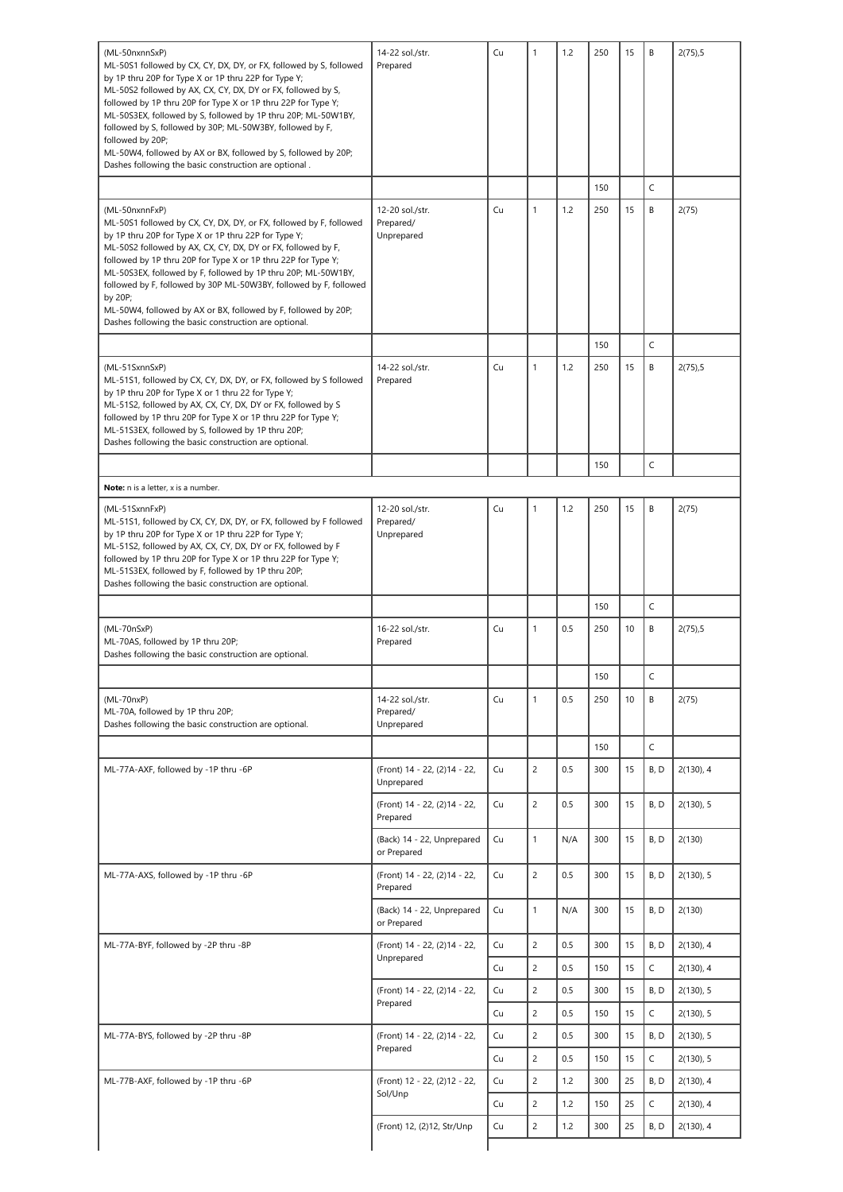| (ML-50nxnnSxP)<br>ML-50S1 followed by CX, CY, DX, DY, or FX, followed by S, followed<br>by 1P thru 20P for Type X or 1P thru 22P for Type Y;                                                                                                                                                                                                                                                                 | 14-22 sol./str.<br>Prepared                 | Cu | $\mathbf{1}$   | 1.2 | 250 | 15 | B    | 2(75),5   |
|--------------------------------------------------------------------------------------------------------------------------------------------------------------------------------------------------------------------------------------------------------------------------------------------------------------------------------------------------------------------------------------------------------------|---------------------------------------------|----|----------------|-----|-----|----|------|-----------|
| ML-50S2 followed by AX, CX, CY, DX, DY or FX, followed by S,<br>followed by 1P thru 20P for Type X or 1P thru 22P for Type Y;<br>ML-50S3EX, followed by S, followed by 1P thru 20P; ML-50W1BY,<br>followed by S, followed by 30P; ML-50W3BY, followed by F,                                                                                                                                                  |                                             |    |                |     |     |    |      |           |
| followed by 20P;<br>ML-50W4, followed by AX or BX, followed by S, followed by 20P;<br>Dashes following the basic construction are optional.                                                                                                                                                                                                                                                                  |                                             |    |                |     |     |    |      |           |
|                                                                                                                                                                                                                                                                                                                                                                                                              |                                             |    |                |     | 150 |    | C    |           |
| (ML-50nxnnFxP)                                                                                                                                                                                                                                                                                                                                                                                               | 12-20 sol./str.                             | Cu | $\mathbf{1}$   | 1.2 | 250 | 15 | B    | 2(75)     |
| ML-50S1 followed by CX, CY, DX, DY, or FX, followed by F, followed<br>by 1P thru 20P for Type X or 1P thru 22P for Type Y;<br>ML-50S2 followed by AX, CX, CY, DX, DY or FX, followed by F,<br>followed by 1P thru 20P for Type X or 1P thru 22P for Type Y;<br>ML-50S3EX, followed by F, followed by 1P thru 20P; ML-50W1BY,<br>followed by F, followed by 30P ML-50W3BY, followed by F, followed<br>by 20P; | Prepared/<br>Unprepared                     |    |                |     |     |    |      |           |
| ML-50W4, followed by AX or BX, followed by F, followed by 20P;<br>Dashes following the basic construction are optional.                                                                                                                                                                                                                                                                                      |                                             |    |                |     |     |    |      |           |
|                                                                                                                                                                                                                                                                                                                                                                                                              |                                             |    |                |     | 150 |    | C    |           |
| (ML-51SxnnSxP)<br>ML-51S1, followed by CX, CY, DX, DY, or FX, followed by S followed<br>by 1P thru 20P for Type X or 1 thru 22 for Type Y;<br>ML-51S2, followed by AX, CX, CY, DX, DY or FX, followed by S<br>followed by 1P thru 20P for Type X or 1P thru 22P for Type Y;<br>ML-51S3EX, followed by S, followed by 1P thru 20P;<br>Dashes following the basic construction are optional.                   | 14-22 sol./str.<br>Prepared                 | Cu | $\mathbf{1}$   | 1.2 | 250 | 15 | В    | 2(75),5   |
|                                                                                                                                                                                                                                                                                                                                                                                                              |                                             |    |                |     | 150 |    | C    |           |
| Note: n is a letter, x is a number.                                                                                                                                                                                                                                                                                                                                                                          |                                             |    |                |     |     |    |      |           |
| (ML-51SxnnFxP)<br>ML-51S1, followed by CX, CY, DX, DY, or FX, followed by F followed<br>by 1P thru 20P for Type X or 1P thru 22P for Type Y;<br>ML-51S2, followed by AX, CX, CY, DX, DY or FX, followed by F<br>followed by 1P thru 20P for Type X or 1P thru 22P for Type Y;<br>ML-51S3EX, followed by F, followed by 1P thru 20P;<br>Dashes following the basic construction are optional.                 | 12-20 sol./str.<br>Prepared/<br>Unprepared  | Cu | $\mathbf{1}$   | 1.2 | 250 | 15 | B    | 2(75)     |
|                                                                                                                                                                                                                                                                                                                                                                                                              |                                             |    |                |     | 150 |    | C    |           |
| $(ML-70nSxP)$<br>ML-70AS, followed by 1P thru 20P;<br>Dashes following the basic construction are optional.                                                                                                                                                                                                                                                                                                  | 16-22 sol./str.<br>Prepared                 | Cu | $\mathbf{1}$   | 0.5 | 250 | 10 | В    | 2(75),5   |
|                                                                                                                                                                                                                                                                                                                                                                                                              |                                             |    |                |     | 150 |    | C    |           |
| (ML-70nxP)<br>ML-70A, followed by 1P thru 20P;<br>Dashes following the basic construction are optional.                                                                                                                                                                                                                                                                                                      | 14-22 sol./str.<br>Prepared/<br>Unprepared  | Cu | $\mathbf{1}$   | 0.5 | 250 | 10 | B    | 2(75)     |
|                                                                                                                                                                                                                                                                                                                                                                                                              |                                             |    |                |     | 150 |    | C    |           |
| ML-77A-AXF, followed by -1P thru -6P                                                                                                                                                                                                                                                                                                                                                                         | (Front) 14 - 22, (2) 14 - 22,<br>Unprepared | Cu | $\overline{2}$ | 0.5 | 300 | 15 | B, D | 2(130), 4 |
|                                                                                                                                                                                                                                                                                                                                                                                                              | (Front) 14 - 22, (2) 14 - 22,<br>Prepared   | Cu | $\overline{c}$ | 0.5 | 300 | 15 | B, D | 2(130), 5 |
|                                                                                                                                                                                                                                                                                                                                                                                                              | (Back) 14 - 22, Unprepared<br>or Prepared   | Cu | $\mathbf{1}$   | N/A | 300 | 15 | B, D | 2(130)    |
| ML-77A-AXS, followed by -1P thru -6P                                                                                                                                                                                                                                                                                                                                                                         | (Front) 14 - 22, (2) 14 - 22,<br>Prepared   | Cu | $\overline{c}$ | 0.5 | 300 | 15 | B, D | 2(130), 5 |
|                                                                                                                                                                                                                                                                                                                                                                                                              | (Back) 14 - 22, Unprepared<br>or Prepared   | Cu | $\mathbf{1}$   | N/A | 300 | 15 | B, D | 2(130)    |
| ML-77A-BYF, followed by -2P thru -8P                                                                                                                                                                                                                                                                                                                                                                         | (Front) 14 - 22, (2) 14 - 22,<br>Unprepared | Cu | $\overline{c}$ | 0.5 | 300 | 15 | B, D | 2(130), 4 |
|                                                                                                                                                                                                                                                                                                                                                                                                              |                                             | Cu | $\overline{c}$ | 0.5 | 150 | 15 | C    | 2(130), 4 |
|                                                                                                                                                                                                                                                                                                                                                                                                              | (Front) 14 - 22, (2) 14 - 22,<br>Prepared   | Cu | $\overline{2}$ | 0.5 | 300 | 15 | B, D | 2(130), 5 |
|                                                                                                                                                                                                                                                                                                                                                                                                              |                                             | Cu | $\overline{c}$ | 0.5 | 150 | 15 | C    | 2(130), 5 |
|                                                                                                                                                                                                                                                                                                                                                                                                              |                                             |    | $\overline{c}$ | 0.5 | 300 | 15 | B, D | 2(130), 5 |
|                                                                                                                                                                                                                                                                                                                                                                                                              | (Front) 14 - 22, (2) 14 - 22,               | Cu |                |     |     |    |      |           |
| ML-77A-BYS, followed by -2P thru -8P                                                                                                                                                                                                                                                                                                                                                                         | Prepared                                    | Cu | $\overline{c}$ | 0.5 | 150 | 15 | C    | 2(130), 5 |
| ML-77B-AXF, followed by -1P thru -6P                                                                                                                                                                                                                                                                                                                                                                         | (Front) 12 - 22, (2)12 - 22,                | Cu | $\overline{c}$ | 1.2 | 300 | 25 | B, D | 2(130), 4 |
|                                                                                                                                                                                                                                                                                                                                                                                                              | Sol/Unp                                     | Cu | $\overline{c}$ | 1.2 | 150 | 25 | C    | 2(130), 4 |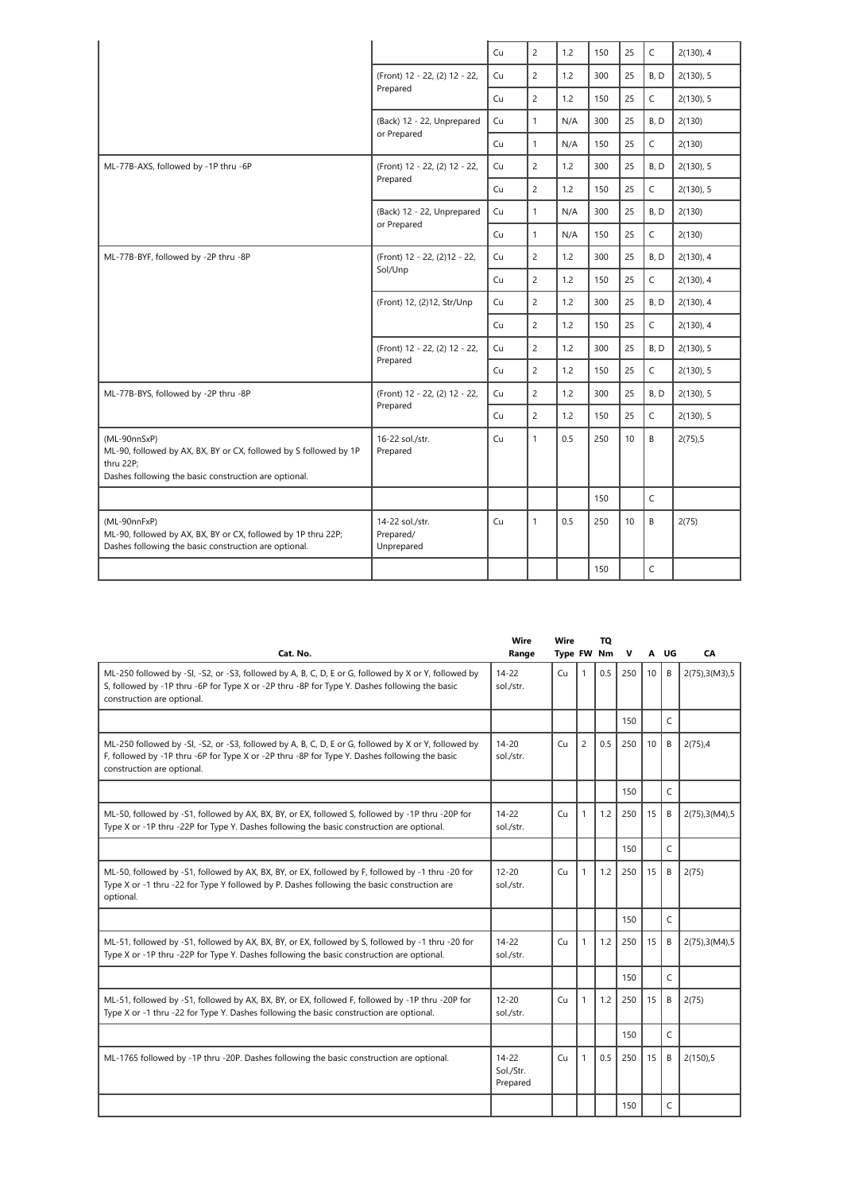|                                                                                                                                                         |                                            | Cu | $\overline{2}$ | 1.2 | 150 | 25 | C            | 2(130), 4 |
|---------------------------------------------------------------------------------------------------------------------------------------------------------|--------------------------------------------|----|----------------|-----|-----|----|--------------|-----------|
|                                                                                                                                                         | (Front) 12 - 22, (2) 12 - 22,              | Cu | $\overline{2}$ | 1.2 | 300 | 25 | B, D         | 2(130), 5 |
|                                                                                                                                                         | Prepared                                   | Cu | $\overline{2}$ | 1.2 | 150 | 25 | C            | 2(130), 5 |
|                                                                                                                                                         | (Back) 12 - 22, Unprepared                 | Cu | $\mathbf{1}$   | N/A | 300 | 25 | B, D         | 2(130)    |
|                                                                                                                                                         | or Prepared                                | Cu | $\mathbf{1}$   | N/A | 150 | 25 | C            | 2(130)    |
| ML-77B-AXS, followed by -1P thru -6P                                                                                                                    | (Front) 12 - 22, (2) 12 - 22,              | Cu | $\overline{2}$ | 1.2 | 300 | 25 | B, D         | 2(130), 5 |
|                                                                                                                                                         | Prepared                                   | Cu | $\overline{2}$ | 1.2 | 150 | 25 | C            | 2(130), 5 |
|                                                                                                                                                         | (Back) 12 - 22, Unprepared                 | Cu | $\mathbf{1}$   | N/A | 300 | 25 | B, D         | 2(130)    |
|                                                                                                                                                         | or Prepared                                | Cu | $\mathbf{1}$   | N/A | 150 | 25 | C.           | 2(130)    |
| ML-77B-BYF, followed by -2P thru -8P                                                                                                                    | (Front) 12 - 22, (2)12 - 22,               | Cu | $\overline{2}$ | 1.2 | 300 | 25 | B.D          | 2(130), 4 |
| Sol/Unp                                                                                                                                                 |                                            | Cu | $\overline{c}$ | 1.2 | 150 | 25 | C            | 2(130), 4 |
|                                                                                                                                                         | (Front) 12, (2)12, Str/Unp                 | Cu | $\overline{2}$ | 1.2 | 300 | 25 | B, D         | 2(130), 4 |
|                                                                                                                                                         |                                            | Cu | $\overline{2}$ | 1.2 | 150 | 25 | C            | 2(130), 4 |
|                                                                                                                                                         | (Front) 12 - 22, (2) 12 - 22,              | Cu | $\overline{2}$ | 1.2 | 300 | 25 | B, D         | 2(130), 5 |
|                                                                                                                                                         | Prepared                                   | Cu | $\overline{2}$ | 1.2 | 150 | 25 | C            | 2(130), 5 |
| ML-77B-BYS, followed by -2P thru -8P                                                                                                                    | (Front) 12 - 22, (2) 12 - 22,              | Cu | $\overline{c}$ | 1.2 | 300 | 25 | B, D         | 2(130), 5 |
|                                                                                                                                                         | Prepared                                   | Cu | $\overline{2}$ | 1.2 | 150 | 25 | $\mathsf{C}$ | 2(130), 5 |
| (ML-90nnSxP)<br>ML-90, followed by AX, BX, BY or CX, followed by S followed by 1P<br>thru 22P;<br>Dashes following the basic construction are optional. | 16-22 sol./str.<br>Prepared                | Cu | $\mathbf{1}$   | 0.5 | 250 | 10 | B            | 2(75), 5  |
|                                                                                                                                                         |                                            |    |                |     | 150 |    | C            |           |
| (ML-90nnFxP)<br>ML-90, followed by AX, BX, BY or CX, followed by 1P thru 22P;<br>Dashes following the basic construction are optional.                  | 14-22 sol./str.<br>Prepared/<br>Unprepared | Cu | $\mathbf{1}$   | 0.5 | 250 | 10 | B            | 2(75)     |
|                                                                                                                                                         |                                            |    |                |     | 150 |    | $\mathsf{C}$ |           |
|                                                                                                                                                         |                                            |    |                |     |     |    |              |           |

| Cat. No.                                                                                                                                                                                                                            | Wire<br>Range                      | Wire<br>Type FW Nm |                | TQ  | $\mathbf{v}$ |    | A UG           | СA              |
|-------------------------------------------------------------------------------------------------------------------------------------------------------------------------------------------------------------------------------------|------------------------------------|--------------------|----------------|-----|--------------|----|----------------|-----------------|
| ML-250 followed by -SI, -S2, or -S3, followed by A, B, C, D, E or G, followed by X or Y, followed by<br>S, followed by -1P thru -6P for Type X or -2P thru -8P for Type Y. Dashes following the basic<br>construction are optional. | $14 - 22$<br>sol./str.             | Cu                 | $\mathbf{1}$   | 0.5 | 250          | 10 | B              | 2(75), 3(M3), 5 |
|                                                                                                                                                                                                                                     |                                    |                    |                |     | 150          |    | C              |                 |
| ML-250 followed by -SI, -S2, or -S3, followed by A, B, C, D, E or G, followed by X or Y, followed by<br>F, followed by -1P thru -6P for Type X or -2P thru -8P for Type Y. Dashes following the basic<br>construction are optional. | $14 - 20$<br>sol./str.             | Cu                 | $\overline{c}$ | 0.5 | 250          | 10 | B              | $2(75)$ ,4      |
|                                                                                                                                                                                                                                     |                                    |                    |                |     | 150          |    | Ċ              |                 |
| ML-50, followed by -S1, followed by AX, BX, BY, or EX, followed S, followed by -1P thru -20P for<br>Type X or -1P thru -22P for Type Y. Dashes following the basic construction are optional.                                       | $14 - 22$<br>sol./str.             | Сu                 | $\mathbf{1}$   | 1.2 | 250          | 15 | B              | 2(75), 3(M4), 5 |
|                                                                                                                                                                                                                                     |                                    |                    |                |     | 150          |    | $\overline{C}$ |                 |
| ML-50, followed by -S1, followed by AX, BX, BY, or EX, followed by F, followed by -1 thru -20 for<br>Type X or -1 thru -22 for Type Y followed by P. Dashes following the basic construction are<br>optional.                       | $12 - 20$<br>sol./str.             | Cu                 | $\mathbf{1}$   | 1.2 | 250          | 15 | B              | 2(75)           |
|                                                                                                                                                                                                                                     |                                    |                    |                |     | 150          |    | Ċ              |                 |
| ML-51, followed by -S1, followed by AX, BX, BY, or EX, followed by S, followed by -1 thru -20 for<br>Type X or -1P thru -22P for Type Y. Dashes following the basic construction are optional.                                      | $14 - 22$<br>sol./str.             | Cu                 | $\mathbf{1}$   | 1.2 | 250          | 15 | B              | 2(75), 3(M4), 5 |
|                                                                                                                                                                                                                                     |                                    |                    |                |     | 150          |    | C              |                 |
| ML-51, followed by -S1, followed by AX, BX, BY, or EX, followed F, followed by -1P thru -20P for<br>Type X or -1 thru -22 for Type Y. Dashes following the basic construction are optional.                                         | $12 - 20$<br>sol./str.             | Cu                 | $\mathbf{1}$   | 1.2 | 250          | 15 | B              | 2(75)           |
|                                                                                                                                                                                                                                     |                                    |                    |                |     | 150          |    | C              |                 |
| ML-1765 followed by -1P thru -20P. Dashes following the basic construction are optional.                                                                                                                                            | $14 - 22$<br>Sol./Str.<br>Prepared | Cu                 |                | 0.5 | 250          | 15 | B              | 2(150), 5       |
|                                                                                                                                                                                                                                     |                                    |                    |                |     | 150          |    | C              |                 |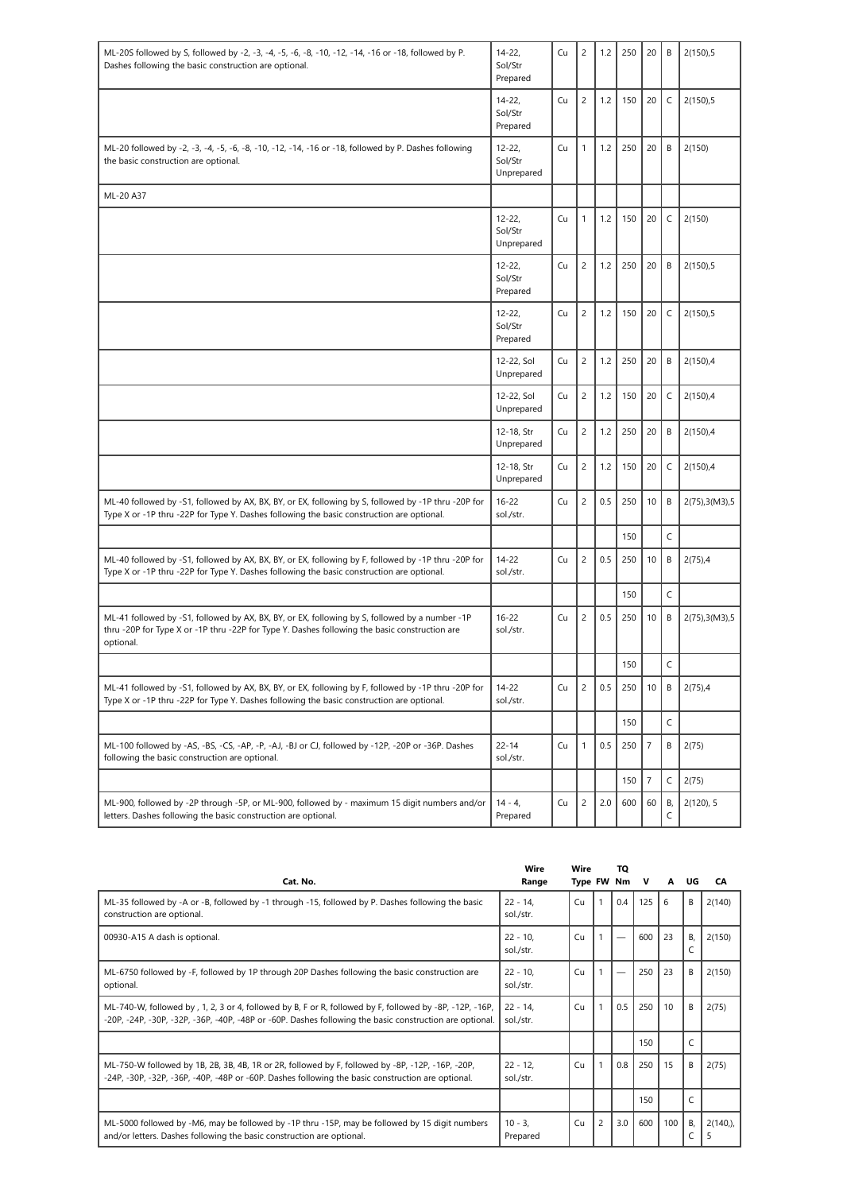| ML-20S followed by S, followed by -2, -3, -4, -5, -6, -8, -10, -12, -14, -16 or -18, followed by P.                                                                                                          | $14 - 22$                          | Cu | $\overline{c}$ | 1.2 | 250 | 20             | B           | 2(150), 5       |
|--------------------------------------------------------------------------------------------------------------------------------------------------------------------------------------------------------------|------------------------------------|----|----------------|-----|-----|----------------|-------------|-----------------|
| Dashes following the basic construction are optional.                                                                                                                                                        | Sol/Str<br>Prepared                |    |                |     |     |                |             |                 |
|                                                                                                                                                                                                              | $14 - 22,$<br>Sol/Str<br>Prepared  | Cu | $\overline{c}$ | 1.2 | 150 | 20             | $\mathsf C$ | 2(150), 5       |
| ML-20 followed by -2, -3, -4, -5, -6, -8, -10, -12, -14, -16 or -18, followed by P. Dashes following<br>the basic construction are optional.                                                                 | $12 - 22$<br>Sol/Str<br>Unprepared | Cu | $\mathbf{1}$   | 1.2 | 250 | 20             | B           | 2(150)          |
| ML-20 A37                                                                                                                                                                                                    |                                    |    |                |     |     |                |             |                 |
|                                                                                                                                                                                                              | $12 - 22$<br>Sol/Str<br>Unprepared | Cu | 1              | 1.2 | 150 | 20             | $\mathsf C$ | 2(150)          |
|                                                                                                                                                                                                              | $12 - 22$<br>Sol/Str<br>Prepared   | Cu | $\overline{c}$ | 1.2 | 250 | 20             | B           | 2(150), 5       |
|                                                                                                                                                                                                              | $12 - 22$<br>Sol/Str<br>Prepared   | Cu | $\overline{c}$ | 1.2 | 150 | 20             | $\mathsf C$ | 2(150), 5       |
|                                                                                                                                                                                                              | 12-22, Sol<br>Unprepared           | Cu | $\overline{c}$ | 1.2 | 250 | 20             | B           | 2(150),4        |
|                                                                                                                                                                                                              | 12-22, Sol<br>Unprepared           | Cu | $\overline{c}$ | 1.2 | 150 | 20             | $\mathsf C$ | 2(150),4        |
|                                                                                                                                                                                                              | 12-18, Str<br>Unprepared           | Cu | $\overline{c}$ | 1.2 | 250 | 20             | B           | 2(150),4        |
|                                                                                                                                                                                                              | 12-18, Str<br>Unprepared           | Cu | $\overline{c}$ | 1.2 | 150 | 20             | $\mathsf C$ | 2(150),4        |
| ML-40 followed by -S1, followed by AX, BX, BY, or EX, following by S, followed by -1P thru -20P for<br>Type X or -1P thru -22P for Type Y. Dashes following the basic construction are optional.             | $16 - 22$<br>sol./str.             | Cu | $\overline{c}$ | 0.5 | 250 | 10             | B           | 2(75), 3(M3), 5 |
|                                                                                                                                                                                                              |                                    |    |                |     | 150 |                | C           |                 |
| ML-40 followed by -S1, followed by AX, BX, BY, or EX, following by F, followed by -1P thru -20P for<br>Type X or -1P thru -22P for Type Y. Dashes following the basic construction are optional.             | $14 - 22$<br>sol./str.             | Cu | $\overline{c}$ | 0.5 | 250 | 10             | B           | $2(75)$ ,4      |
|                                                                                                                                                                                                              |                                    |    |                |     | 150 |                | C           |                 |
| ML-41 followed by -S1, followed by AX, BX, BY, or EX, following by S, followed by a number -1P<br>thru -20P for Type X or -1P thru -22P for Type Y. Dashes following the basic construction are<br>optional. | $16 - 22$<br>sol./str.             | Cu | $\overline{c}$ | 0.5 | 250 | 10             | B           | 2(75), 3(M3), 5 |
|                                                                                                                                                                                                              |                                    |    |                |     | 150 |                | C           |                 |
| ML-41 followed by -S1, followed by AX, BX, BY, or EX, following by F, followed by -1P thru -20P for<br>Type X or -1P thru -22P for Type Y. Dashes following the basic construction are optional.             | $14 - 22$<br>sol./str.             | Cu | $\overline{c}$ | 0.5 | 250 | 10             | $\sf B$     | $2(75)$ ,4      |
|                                                                                                                                                                                                              |                                    |    |                |     | 150 |                | C           |                 |
| ML-100 followed by -AS, -BS, -CS, -AP, -P, -AJ, -BJ or CJ, followed by -12P, -20P or -36P. Dashes<br>following the basic construction are optional.                                                          | $22 - 14$<br>sol./str.             | Cu | $\mathbf{1}$   | 0.5 | 250 | $\overline{7}$ | B           | 2(75)           |
|                                                                                                                                                                                                              |                                    |    |                |     | 150 | $\overline{7}$ | $\mathsf C$ | 2(75)           |
| ML-900, followed by -2P through -5P, or ML-900, followed by - maximum 15 digit numbers and/or<br>letters. Dashes following the basic construction are optional.                                              | $14 - 4,$<br>Prepared              | Cu | $\overline{c}$ | 2.0 | 600 | 60             | В,<br>C     | 2(120), 5       |

|                                                                                                                                                                                                                    | Wire                     | Wire       |                | TQ  |     |     |         |                 |
|--------------------------------------------------------------------------------------------------------------------------------------------------------------------------------------------------------------------|--------------------------|------------|----------------|-----|-----|-----|---------|-----------------|
| Cat. No.                                                                                                                                                                                                           | Range                    | Type FW Nm |                |     | v   | A   | UG      | CA              |
| ML-35 followed by -A or -B, followed by -1 through -15, followed by P. Dashes following the basic<br>construction are optional.                                                                                    | $22 - 14$<br>sol./str.   | Cu         |                | 0.4 | 125 | 6   | B       | 2(140)          |
| 00930-A15 A dash is optional.                                                                                                                                                                                      | $22 - 10$ .<br>sol./str. | Cu         |                |     | 600 | 23  | B.<br>C | 2(150)          |
| ML-6750 followed by -F, followed by 1P through 20P Dashes following the basic construction are<br>optional.                                                                                                        | $22 - 10$<br>sol./str.   | Cu         |                |     | 250 | 23  | B       | 2(150)          |
| ML-740-W, followed by, 1, 2, 3 or 4, followed by B, F or R, followed by F, followed by -8P, -12P, -16P,<br>-20P, -24P, -30P, -32P, -36P, -40P, -48P or -60P. Dashes following the basic construction are optional. | $22 - 14.$<br>sol./str.  | Cu         |                | 0.5 | 250 | 10  | B       | 2(75)           |
|                                                                                                                                                                                                                    |                          |            |                |     | 150 |     | C       |                 |
| ML-750-W followed by 1B, 2B, 3B, 4B, 1R or 2R, followed by F, followed by -8P, -12P, -16P, -20P,<br>-24P, -30P, -32P, -36P, -40P, -48P or -60P. Dashes following the basic construction are optional.              | $22 - 12$<br>sol./str.   | Cu         |                | 0.8 | 250 | 15  | B       | 2(75)           |
|                                                                                                                                                                                                                    |                          |            |                |     | 150 |     |         |                 |
| ML-5000 followed by -M6, may be followed by -1P thru -15P, may be followed by 15 digit numbers<br>and/or letters. Dashes following the basic construction are optional.                                            | $10 - 3.$<br>Prepared    | Cu         | $\overline{c}$ | 3.0 | 600 | 100 | В,      | $2(140)$ ,<br>5 |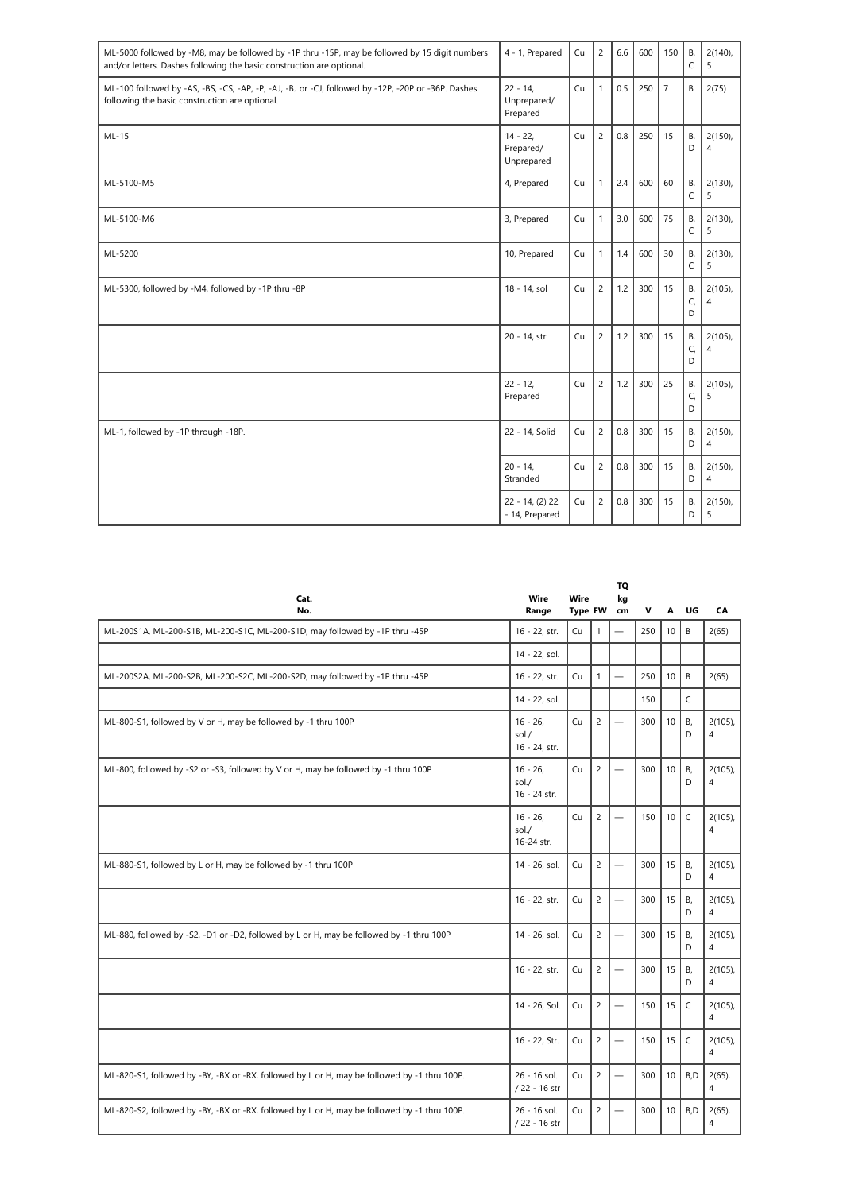| ML-5000 followed by -M8, may be followed by -1P thru -15P, may be followed by 15 digit numbers<br>and/or letters. Dashes following the basic construction are optional. | 4 - 1, Prepared                      | Cu | $\overline{c}$ | 6.6 | 600 | 150            | B,<br>C       | $2(140)$ ,<br>5              |
|-------------------------------------------------------------------------------------------------------------------------------------------------------------------------|--------------------------------------|----|----------------|-----|-----|----------------|---------------|------------------------------|
| ML-100 followed by -AS, -BS, -CS, -AP, -P, -AJ, -BJ or -CJ, followed by -12P, -20P or -36P. Dashes<br>following the basic construction are optional.                    | $22 - 14$<br>Unprepared/<br>Prepared | Cu | $\mathbf{1}$   | 0.5 | 250 | $\overline{7}$ | В             | 2(75)                        |
| $ML-15$                                                                                                                                                                 | $14 - 22$<br>Prepared/<br>Unprepared | Cu | $\overline{c}$ | 0.8 | 250 | 15             | В,<br>D       | 2(150)<br>$\overline{4}$     |
| ML-5100-M5                                                                                                                                                              | 4, Prepared                          | Cu | $\mathbf{1}$   | 2.4 | 600 | 60             | В,<br>C       | 2(130),<br>5                 |
| ML-5100-M6                                                                                                                                                              | 3, Prepared                          | Cu | $\mathbf{1}$   | 3.0 | 600 | 75             | В,<br>C       | 2(130)<br>5                  |
| ML-5200                                                                                                                                                                 | 10, Prepared                         | Cu | $\mathbf{1}$   | 1.4 | 600 | 30             | В,<br>C       | $2(130)$ ,<br>5              |
| ML-5300, followed by -M4, followed by -1P thru -8P                                                                                                                      | 18 - 14, sol                         | Cu | $\overline{c}$ | 1.2 | 300 | 15             | В,<br>C,<br>D | $2(105)$ ,<br>$\overline{4}$ |
|                                                                                                                                                                         | 20 - 14, str                         | Cu | $\overline{c}$ | 1.2 | 300 | 15             | В,<br>C,<br>D | $2(105)$ ,<br>$\overline{4}$ |
|                                                                                                                                                                         | $22 - 12$<br>Prepared                | Cu | $\overline{c}$ | 1.2 | 300 | 25             | В,<br>C,<br>D | $2(105)$ ,<br>5              |
| ML-1, followed by -1P through -18P.                                                                                                                                     | 22 - 14, Solid                       | Cu | $\overline{c}$ | 0.8 | 300 | 15             | В,<br>D       | $2(150)$ ,<br>$\overline{4}$ |
|                                                                                                                                                                         | $20 - 14$<br>Stranded                | Cu | $\overline{c}$ | 0.8 | 300 | 15             | В,<br>D       | 2(150)<br>$\overline{4}$     |
|                                                                                                                                                                         | $22 - 14$ , (2) 22<br>- 14, Prepared | Cu | $\overline{c}$ | 0.8 | 300 | 15             | В,<br>D       | 2(150)<br>5                  |

| Cat.<br>No.                                                                                  | Wire<br>Range                        | Wire<br>Type FW |                | TQ<br>kg<br>cm           | v   | A  | UG           | CA                                    |
|----------------------------------------------------------------------------------------------|--------------------------------------|-----------------|----------------|--------------------------|-----|----|--------------|---------------------------------------|
| ML-200S1A, ML-200-S1B, ML-200-S1C, ML-200-S1D; may followed by -1P thru -45P                 | 16 - 22, str.                        | Cu              | $\mathbf{1}$   | $\overline{\phantom{0}}$ | 250 | 10 | B            | 2(65)                                 |
|                                                                                              | 14 - 22, sol.                        |                 |                |                          |     |    |              |                                       |
| ML-200S2A, ML-200-S2B, ML-200-S2C, ML-200-S2D; may followed by -1P thru -45P                 | 16 - 22, str.                        | Cu              | $\mathbf{1}$   | $\overline{\phantom{0}}$ | 250 | 10 | B            | 2(65)                                 |
|                                                                                              | 14 - 22, sol.                        |                 |                |                          | 150 |    | $\mathsf{C}$ |                                       |
| ML-800-S1, followed by V or H, may be followed by -1 thru 100P                               | $16 - 26.$<br>sol./<br>16 - 24, str. | Cu              | $\overline{c}$ |                          | 300 | 10 | В,<br>D      | $2(105)$ ,<br>$\overline{4}$          |
| ML-800, followed by -S2 or -S3, followed by V or H, may be followed by -1 thru 100P          | $16 - 26.$<br>sol./<br>16 - 24 str.  | Cu              | $\overline{c}$ |                          | 300 | 10 | В,<br>D      | $2(105)$ ,<br>$\overline{\mathbf{4}}$ |
|                                                                                              | $16 - 26$<br>sol.<br>16-24 str.      | Cu              | $\overline{c}$ |                          | 150 | 10 | $\mathsf C$  | $2(105)$ ,<br>$\overline{4}$          |
| ML-880-S1, followed by L or H, may be followed by -1 thru 100P                               | 14 - 26, sol.                        | Cu              | $\overline{2}$ |                          | 300 | 15 | В,<br>D      | $2(105)$ ,<br>$\overline{4}$          |
|                                                                                              | 16 - 22, str.                        | Cu              | $\overline{c}$ |                          | 300 | 15 | В,<br>D      | $2(105)$ ,<br>$\overline{4}$          |
| ML-880, followed by -S2, -D1 or -D2, followed by L or H, may be followed by -1 thru 100P     | 14 - 26, sol.                        | Cu              | $\overline{c}$ |                          | 300 | 15 | В,<br>D      | $2(105)$ ,<br>$\overline{4}$          |
|                                                                                              | 16 - 22, str.                        | Cu              | $\overline{c}$ |                          | 300 | 15 | В,<br>D      | $2(105)$ ,<br>$\overline{4}$          |
|                                                                                              | 14 - 26, Sol.                        | Cu              | $\overline{c}$ |                          | 150 | 15 | $\mathsf{C}$ | $2(105)$ ,<br>$\overline{4}$          |
|                                                                                              | 16 - 22, Str.                        | Cu              | $\overline{c}$ |                          | 150 | 15 | C            | $2(105)$ ,<br>$\overline{4}$          |
| ML-820-S1, followed by -BY, -BX or -RX, followed by L or H, may be followed by -1 thru 100P. | 26 - 16 sol.<br>/ 22 - 16 str        | Cu              | $\overline{c}$ |                          | 300 | 10 | B,D          | $2(65)$ ,<br>$\overline{4}$           |
| ML-820-S2, followed by -BY, -BX or -RX, followed by L or H, may be followed by -1 thru 100P. | 26 - 16 sol.<br>/ 22 - 16 str        | Cu              | $\overline{c}$ |                          | 300 | 10 | B,D          | $2(65)$ ,<br>$\overline{4}$           |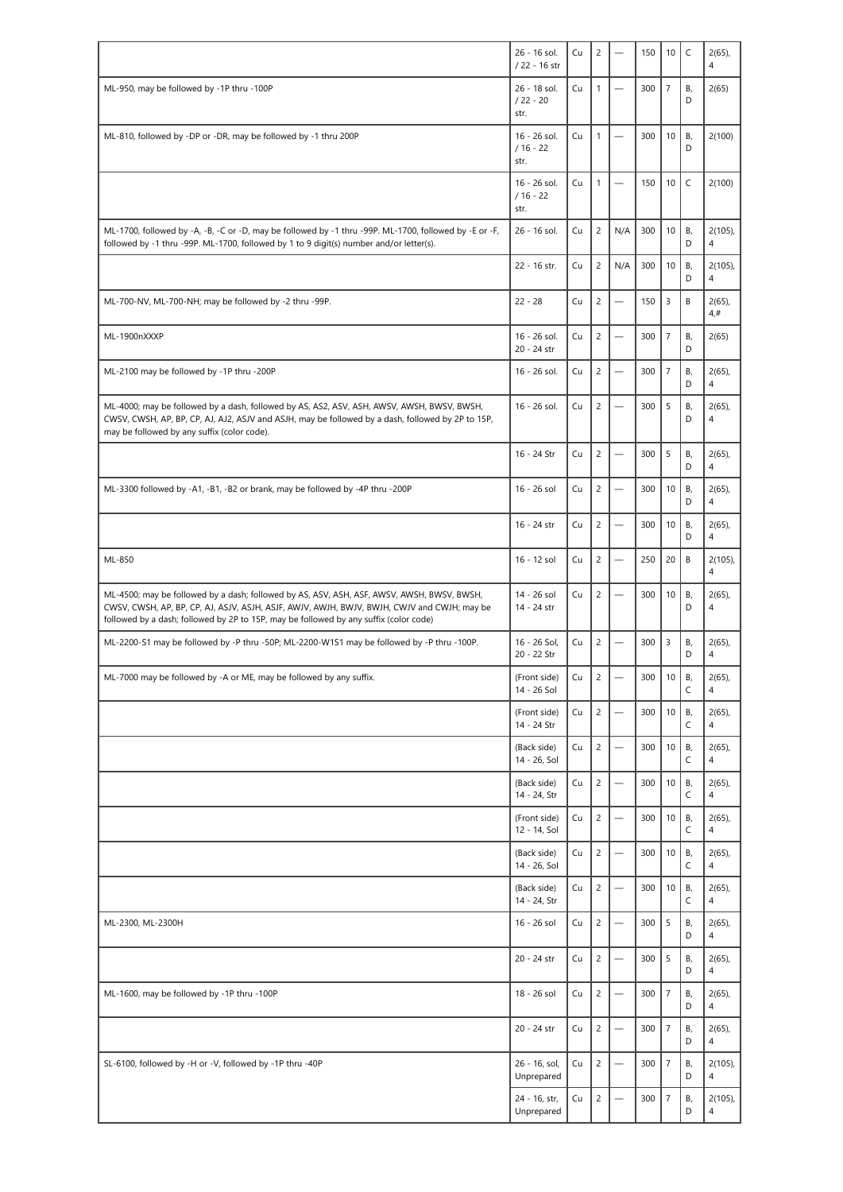|                                                                                                                                                                                                                                                                                    | 26 - 16 sol.<br>/ 22 - 16 str      | Cu | $\overline{c}$ |                          | 150 | 10             | $\mathsf{C}$ | $2(65)$ ,<br>$\overline{4}$          |
|------------------------------------------------------------------------------------------------------------------------------------------------------------------------------------------------------------------------------------------------------------------------------------|------------------------------------|----|----------------|--------------------------|-----|----------------|--------------|--------------------------------------|
| ML-950, may be followed by -1P thru -100P                                                                                                                                                                                                                                          | 26 - 18 sol.<br>$/22 - 20$<br>str. | Cu | $\mathbf{1}$   |                          | 300 | $\overline{7}$ | В,<br>D      | 2(65)                                |
| ML-810, followed by -DP or -DR, may be followed by -1 thru 200P                                                                                                                                                                                                                    | 16 - 26 sol.<br>$/16 - 22$<br>str. | Cu | $\mathbf{1}$   | $\overline{\phantom{0}}$ | 300 | 10             | В,<br>D      | 2(100)                               |
|                                                                                                                                                                                                                                                                                    | 16 - 26 sol.<br>$/16 - 22$<br>str. | Cu | $\mathbf{1}$   |                          | 150 | 10             | $\mathsf C$  | 2(100)                               |
| ML-1700, followed by -A, -B, -C or -D, may be followed by -1 thru -99P. ML-1700, followed by -E or -F,<br>followed by -1 thru -99P. ML-1700, followed by 1 to 9 digit(s) number and/or letter(s).                                                                                  | 26 - 16 sol.                       | Cu | $\overline{c}$ | N/A                      | 300 | 10             | В,<br>D      | 2(105)<br>$\overline{4}$             |
|                                                                                                                                                                                                                                                                                    | 22 - 16 str.                       | Cu | $\overline{c}$ | N/A                      | 300 | 10             | В,<br>D      | $2(105)$ ,<br>$\overline{4}$         |
| ML-700-NV, ML-700-NH; may be followed by -2 thru -99P.                                                                                                                                                                                                                             | $22 - 28$                          | Cu | $\overline{c}$ |                          | 150 | $\overline{3}$ | B            | $2(65)$ ,<br>4,#                     |
| ML-1900nXXXP                                                                                                                                                                                                                                                                       | 16 - 26 sol.<br>20 - 24 str        | Cu | $\overline{c}$ |                          | 300 | $\overline{7}$ | В,<br>D      | 2(65)                                |
| ML-2100 may be followed by -1P thru -200P                                                                                                                                                                                                                                          | 16 - 26 sol.                       | Cu | $\overline{c}$ | $\overline{\phantom{0}}$ | 300 | $\overline{7}$ | В,<br>D      | $2(65)$ ,<br>$\overline{4}$          |
| ML-4000; may be followed by a dash, followed by AS, AS2, ASV, ASH, AWSV, AWSH, BWSV, BWSH,<br>CWSV, CWSH, AP, BP, CP, AJ, AJ2, ASJV and ASJH, may be followed by a dash, followed by 2P to 15P,<br>may be followed by any suffix (color code).                                     | 16 - 26 sol.                       | Cu | $\overline{c}$ | a.                       | 300 | 5              | В,<br>D      | $2(65)$ ,<br>4                       |
|                                                                                                                                                                                                                                                                                    | 16 - 24 Str                        | Cu | $\overline{c}$ |                          | 300 | 5              | В,<br>D      | $2(65)$ ,<br>4                       |
| ML-3300 followed by -A1, -B1, -B2 or brank, may be followed by -4P thru -200P                                                                                                                                                                                                      | 16 - 26 sol                        | Cu | $\overline{c}$ |                          | 300 | 10             | В,<br>D      | $2(65)$ ,<br>$\overline{4}$          |
|                                                                                                                                                                                                                                                                                    | 16 - 24 str                        | Cu | $\overline{c}$ | $\overline{\phantom{0}}$ | 300 | 10             | В,<br>D      | $2(65)$ ,<br>$\overline{4}$          |
| ML-850                                                                                                                                                                                                                                                                             | 16 - 12 sol                        | Cu | $\overline{c}$ | $\overline{\phantom{0}}$ | 250 | 20             | B            | $2(105)$ ,<br>4                      |
| ML-4500; may be followed by a dash; followed by AS, ASV, ASH, ASF, AWSV, AWSH, BWSV, BWSH,<br>CWSV, CWSH, AP, BP, CP, AJ, ASJV, ASJH, ASJF, AWJV, AWJH, BWJV, BWJH, CWJV and CWJH; may be<br>followed by a dash; followed by 2P to 15P, may be followed by any suffix (color code) | 14 - 26 sol<br>14 - 24 str         | Cu | $\overline{c}$ |                          | 300 | 10             | В,<br>D      | $2(65)$ ,<br>$\overline{4}$          |
| ML-2200-S1 may be followed by -P thru -50P; ML-2200-W1S1 may be followed by -P thru -100P.                                                                                                                                                                                         | 16 - 26 Sol,<br>20 - 22 Str        | Cu | $\overline{c}$ | a.                       | 300 | $\overline{3}$ | В,<br>D      | $2(65)$ ,<br>$\overline{4}$          |
| ML-7000 may be followed by -A or ME, may be followed by any suffix.                                                                                                                                                                                                                | (Front side)<br>14 - 26 Sol        | Cu | 2              |                          | 300 | $10$   B,      | C            | $2(65)$ ,<br>$\overline{\mathbf{4}}$ |
|                                                                                                                                                                                                                                                                                    | (Front side)<br>14 - 24 Str        | Cu | $\overline{c}$ | $\overline{\phantom{0}}$ | 300 | 10             | В,<br>C      | $2(65)$ ,<br>$\overline{4}$          |
|                                                                                                                                                                                                                                                                                    | (Back side)<br>14 - 26, Sol        | Cu | $\overline{c}$ |                          | 300 | 10             | В,<br>C      | $2(65)$ ,<br>4                       |
|                                                                                                                                                                                                                                                                                    | (Back side)<br>14 - 24, Str        | Cu | $\overline{c}$ |                          | 300 | 10             | В,<br>C      | $2(65)$ ,<br>4                       |
|                                                                                                                                                                                                                                                                                    | (Front side)<br>12 - 14, Sol       | Cu | $\overline{c}$ | $\overline{\phantom{0}}$ | 300 | 10             | В,<br>C      | $2(65)$ ,<br>4                       |
|                                                                                                                                                                                                                                                                                    | (Back side)<br>14 - 26, Sol        | Cu | $\overline{c}$ |                          | 300 | 10             | В,<br>C      | $2(65)$ ,<br>$\overline{4}$          |
|                                                                                                                                                                                                                                                                                    | (Back side)<br>14 - 24, Str        | Cu | $\overline{c}$ | $\overline{\phantom{0}}$ | 300 | 10             | В,<br>C      | $2(65)$ ,<br>$\overline{4}$          |
| ML-2300, ML-2300H                                                                                                                                                                                                                                                                  | 16 - 26 sol                        | Cu | $\overline{c}$ | —                        | 300 | 5              | В,<br>D      | $2(65)$ ,<br>4                       |
|                                                                                                                                                                                                                                                                                    | 20 - 24 str                        | Cu | $\overline{c}$ | $\overline{\phantom{0}}$ | 300 | 5              | В,<br>D      | $2(65)$ ,<br>4                       |
| ML-1600, may be followed by -1P thru -100P                                                                                                                                                                                                                                         | 18 - 26 sol                        | Cu | $\overline{c}$ |                          | 300 | $\overline{7}$ | В,<br>D      | $2(65)$ ,<br>$\overline{4}$          |
|                                                                                                                                                                                                                                                                                    | 20 - 24 str                        | Cu | $\overline{c}$ | $\equiv$                 | 300 | $\overline{7}$ | В,<br>D      | $2(65)$ ,<br>4                       |
| SL-6100, followed by -H or -V, followed by -1P thru -40P                                                                                                                                                                                                                           | 26 - 16, sol,<br>Unprepared        | Cu | $\overline{c}$ |                          | 300 | $\overline{7}$ | В,<br>D      | $2(105)$ ,<br>4                      |
|                                                                                                                                                                                                                                                                                    | 24 - 16, str,<br>Unprepared        | Cu | $\overline{c}$ |                          | 300 | $\overline{7}$ | В,<br>D      | $2(105)$ ,<br>4                      |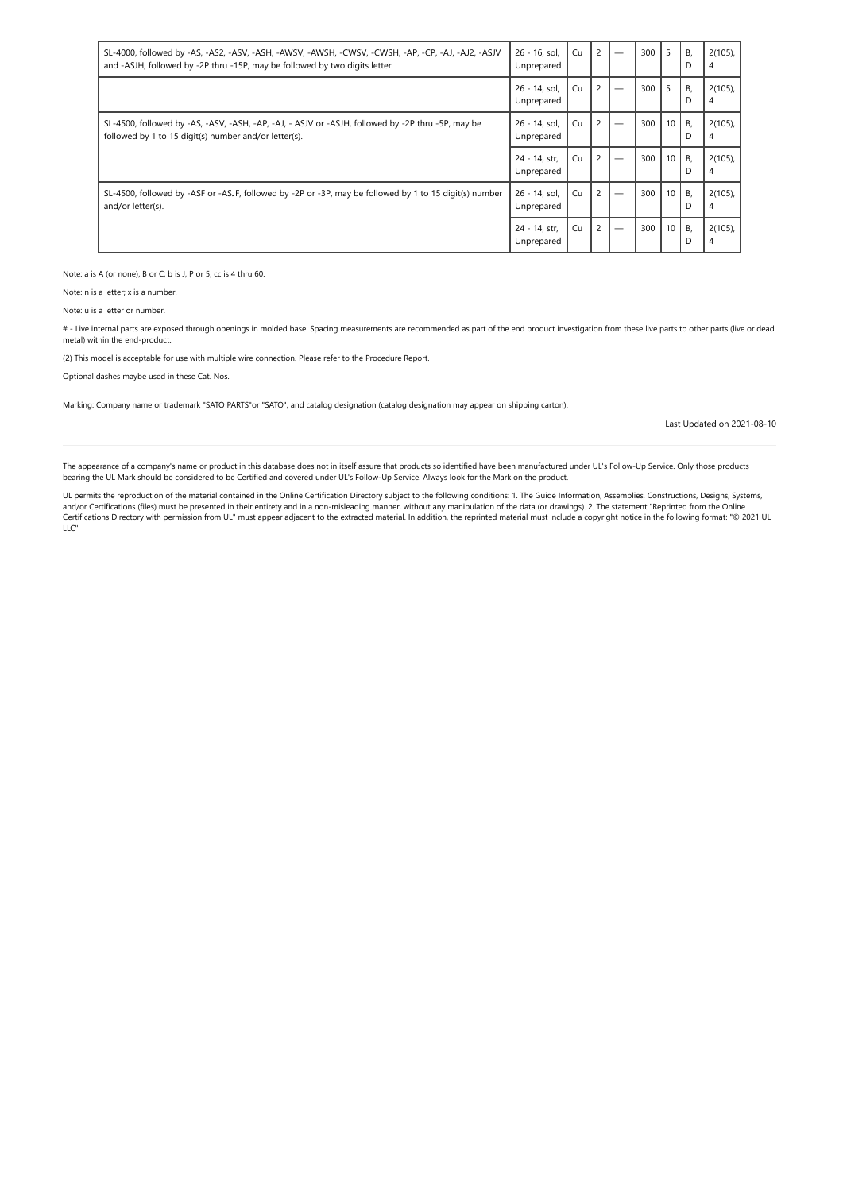| SL-4000, followed by -AS, -AS2, -ASV, -ASH, -AWSV, -AWSH, -CWSV, -CWSH, -AP, -CP, -AJ, -AJ2, -ASJV<br>and -ASJH, followed by -2P thru -15P, may be followed by two digits letter | 26 - 16, sol,<br>Unprepared | Cu | $\overline{c}$ | 300 | 5               | В,<br>D | $2(105)$ ,<br>4 |
|----------------------------------------------------------------------------------------------------------------------------------------------------------------------------------|-----------------------------|----|----------------|-----|-----------------|---------|-----------------|
|                                                                                                                                                                                  | 26 - 14, sol,<br>Unprepared | Cu | $\overline{c}$ | 300 | 5               | В,<br>D | $2(105)$ ,<br>4 |
| SL-4500, followed by -AS, -ASV, -ASH, -AP, -AJ, - ASJV or -ASJH, followed by -2P thru -5P, may be<br>followed by 1 to 15 digit(s) number and/or letter(s).                       | 26 - 14, sol,<br>Unprepared | Cu | $\overline{c}$ | 300 | 10 <sup>1</sup> | В,<br>D | $2(105)$ ,<br>4 |
|                                                                                                                                                                                  | 24 - 14, str,<br>Unprepared | Cu | $\overline{c}$ | 300 | 10 <sup>1</sup> | В.<br>D | $2(105)$ ,<br>4 |
| SL-4500, followed by -ASF or -ASJF, followed by -2P or -3P, may be followed by 1 to 15 digit(s) number<br>and/or letter(s).                                                      | 26 - 14, sol,<br>Unprepared | Cu | $\overline{c}$ | 300 | 10 <sup>1</sup> | В,<br>D | $2(105)$ ,<br>4 |
|                                                                                                                                                                                  | 24 - 14, str,<br>Unprepared | Cu | $\overline{c}$ | 300 | 10 <sup>1</sup> | В,<br>D | $2(105)$ ,<br>4 |

Note: a is A (or none), B or C; b is J, P or 5; cc is 4 thru 60.

Note: n is a letter; x is a number.

Note: u is a letter or number.

# - Live internal parts are exposed through openings in molded base. Spacing measurements are recommended as part of the end product investigation from these live parts to other parts (live or dead metal) within the end-product.

(2) This model is acceptable for use with multiple wire connection. Please refer to the Procedure Report.

Optional dashes maybe used in these Cat. Nos.

Marking: Company name or trademark "SATO PARTS"or "SATO", and catalog designation (catalog designation may appear on shipping carton).

Last Updated on 2021-08-10

The appearance of a company's name or product in this database does not in itself assure that products so identified have been manufactured under UL's Follow-Up Service. Only those products bearing the UL Mark should be considered to be Certified and covered under UL's Follow-Up Service. Always look for the Mark on the product.

UL permits the reproduction of the material contained in the Online Certification Directory subject to the following conditions: 1. The Guide Information, Assemblies, Constructions, Designs, Systems,<br>and/or Certifications LLC"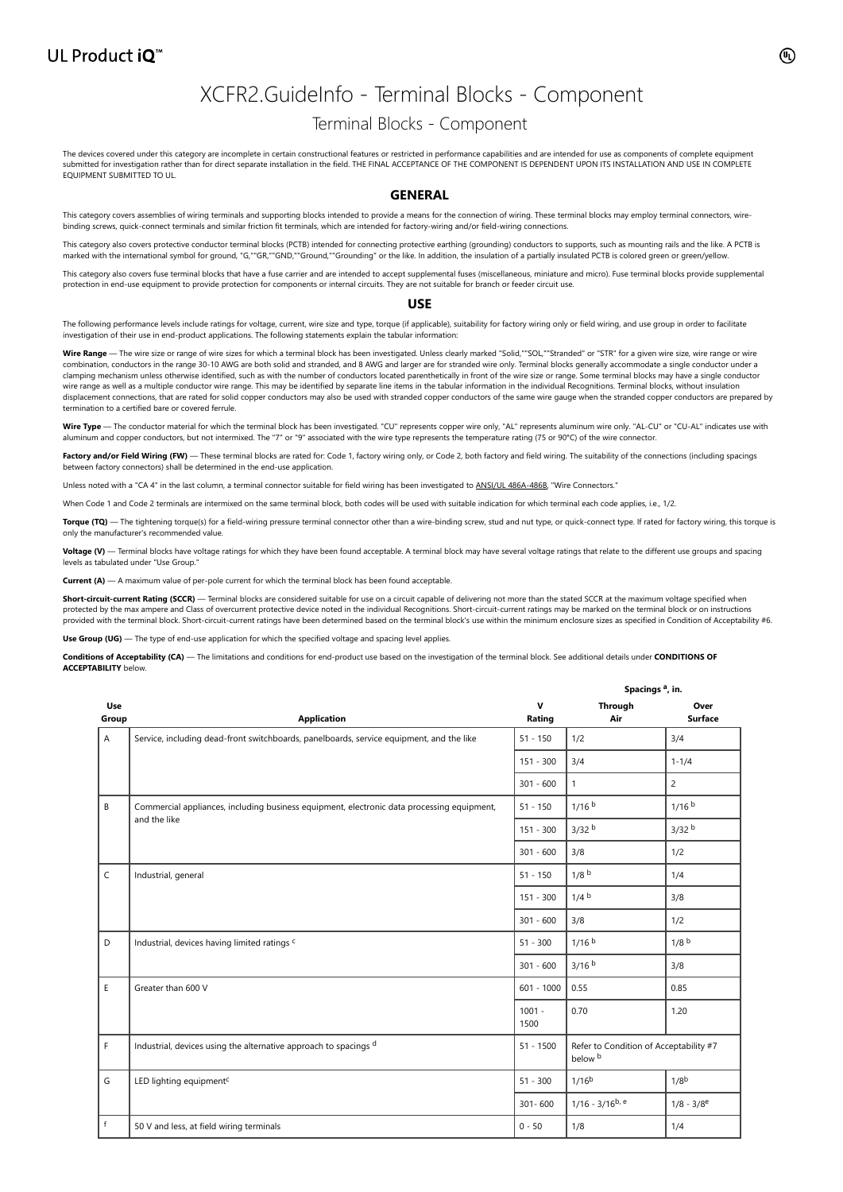## XCFR2.GuideInfo - Terminal Blocks - Component

## Terminal Blocks - Component

The devices covered under this category are incomplete in certain constructional features or restricted in performance capabilities and are intended for use as components of complete equipment<br>submitted for investigation r EQUIPMENT SUBMITTED TO UL.

### **GENERAL**

This category covers assemblies of wiring terminals and supporting blocks intended to provide a means for the connection of wiring. These terminal blocks may employ terminal connectors, wirebinding screws, quick-connect terminals and similar friction fit terminals, which are intended for factory-wiring and/or field-wiring connections.

This category also covers protective conductor terminal blocks (PCTB) intended for connecting protective earthing (grounding) conductors to supports, such as mounting rails and the like. A PCTB is marked with the international symbol for ground, "G,""GR,""GND,""Ground,""Grounding" or the like. In addition, the insulation of a partially insulated PCTB is colored green or green/yellow.

This category also covers fuse terminal blocks that have a fuse carrier and are intended to accept supplemental fuses (miscellaneous, miniature and micro). Fuse terminal blocks provide supplemental protection in end-use equipment to provide protection for components or internal circuits. They are not suitable for branch or feeder circuit use.

#### **USE**

The following performance levels include ratings for voltage, current, wire size and type, torque (if applicable), suitability for factory wiring only or field wiring, and use group in order to facilitate investigation of their use in end-product applications. The following statements explain the tabular information:

**Wire Range** — The wire size or range of wire sizes for which a terminal block has been investigated. Unless clearly marked "Solid,""SOL,""Stranded" or "STR" for a given wire size, wire range or wire combination, conductors in the range 30-10 AWG are both solid and stranded, and 8 AWG and larger are for stranded wire only. Terminal blocks generally accommodate a single conductor under a clamping mechanism unless otherwise identified, such as with the number of conductors located parenthetically in front of the wire size or range. Some terminal blocks may have a single conductor<br>wire range as well as a mul displacement connections, that are rated for solid copper conductors may also be used with stranded copper conductors of the same wire gauge when the stranded copper conductors are prepared by termination to a certified bare or covered ferrule.

Wire Type - The conductor material for which the terminal block has been investigated. "CU" represents copper wire only, "AL" represents aluminum wire only. "AL-CU" or "CU-AL" indicates use with aluminum and copper conductors, but not intermixed. The "7" or "9" associated with the wire type represents the temperature rating (75 or 90°C) of the wire connector

Factory and/or Field Wiring (FW) — These terminal blocks are rated for: Code 1, factory wiring only, or Code 2, both factory and field wiring. The suitability of the connections (including spacings between factory connectors) shall be determined in the end-use application.

Unless noted with a "CA 4" in the last column, a terminal connector suitable for field wiring has been investigated to [ANSI/UL 486A-486B,](https://www.shopulstandards.com/ProductDetail.aspx?productId=UL486A-486B) "Wire Connectors."

When Code 1 and Code 2 terminals are intermixed on the same terminal block, both codes will be used with suitable indication for which terminal each code applies, i.e., 1/2.

Torque (TQ) — The tightening torque(s) for a field-wiring pressure terminal connector other than a wire-binding screw, stud and nut type, or quick-connect type. If rated for factory wiring, this torque is only the manufacturer's recommended value.

**Voltage (V)** — Terminal blocks have voltage ratings for which they have been found acceptable. A terminal block may have several voltage ratings that relate to the different use groups and spacing levels as tabulated under "Use Group."

— A maximum value of per-pole current for which the terminal block has been found acceptable

Short-circuit-current Rating (SCCR) — Terminal blocks are considered suitable for use on a circuit capable of delivering not more than the stated SCCR at the maximum voltage specified when protected by the max ampere and Class of overcurrent protective device noted in the individual Recognitions. Short-circuit-current ratings may be marked on the terminal block or on instructions provided with the terminal block. Short-circuit-current ratings have been determined based on the terminal block's use within the minimum enclosure sizes as specified in Condition of Acceptability #6.

Use Group (UG) — The type of end-use application for which the specified voltage and spacing level applies.

**Conditions of Acceptability (CA)** — The limitations and conditions for end-product use based on the investigation of the terminal block. See additional details under **CONDITIONS OF ACCEPTABILITY** below.

|              |                                                                                            |                          | Spacings <sup>a</sup> , in.                       |                          |  |  |  |
|--------------|--------------------------------------------------------------------------------------------|--------------------------|---------------------------------------------------|--------------------------|--|--|--|
| Use<br>Group | <b>Application</b>                                                                         | v<br>Rating              | Through<br>Air                                    | Over<br><b>Surface</b>   |  |  |  |
| A            | Service, including dead-front switchboards, panelboards, service equipment, and the like   | $51 - 150$               | 1/2                                               | 3/4                      |  |  |  |
|              |                                                                                            | $151 - 300$              | 3/4                                               | $1 - 1/4$                |  |  |  |
|              |                                                                                            | $301 - 600$              | $\mathbf{1}$                                      | $\overline{c}$           |  |  |  |
| B            | Commercial appliances, including business equipment, electronic data processing equipment, | $51 - 150$               | 1/16 <sup>b</sup>                                 | 1/16 <sup>b</sup>        |  |  |  |
|              | and the like                                                                               | $151 - 300$              | 3/32 <sup>b</sup>                                 | 3/32 <sup>b</sup>        |  |  |  |
|              |                                                                                            | $301 - 600$              | 3/8                                               | 1/2                      |  |  |  |
| $\mathsf{C}$ | Industrial, general                                                                        | $51 - 150$               | 1/8 <sup>b</sup>                                  | 1/4                      |  |  |  |
|              |                                                                                            | $151 - 300$              | 1/4 <sup>b</sup>                                  | 3/8                      |  |  |  |
|              |                                                                                            | $301 - 600$              | 3/8                                               | 1/2                      |  |  |  |
| D            | Industrial, devices having limited ratings <sup>c</sup>                                    | $51 - 300$               | 1/16 <sup>b</sup>                                 | 1/8 <sup>b</sup>         |  |  |  |
|              |                                                                                            | $301 - 600$              | 3/16 <sup>b</sup>                                 | 3/8                      |  |  |  |
| E            | Greater than 600 V                                                                         | $601 - 1000$             | 0.55                                              | 0.85                     |  |  |  |
|              |                                                                                            | $1001 -$<br>0.70<br>1500 |                                                   | 1.20                     |  |  |  |
| F            | Industrial, devices using the alternative approach to spacings d                           | $51 - 1500$              | Refer to Condition of Acceptability #7<br>below b |                          |  |  |  |
| G            | LED lighting equipment <sup>c</sup>                                                        | $51 - 300$               | $1/16^{b}$                                        | 1/8 <sup>b</sup>         |  |  |  |
|              |                                                                                            | $301 - 600$              | $1/16 - 3/16^{b}$ , e                             | $1/8 - 3/8$ <sup>e</sup> |  |  |  |
| f            | 50 V and less, at field wiring terminals                                                   | $0 - 50$                 | 1/8                                               | 1/4                      |  |  |  |

**a**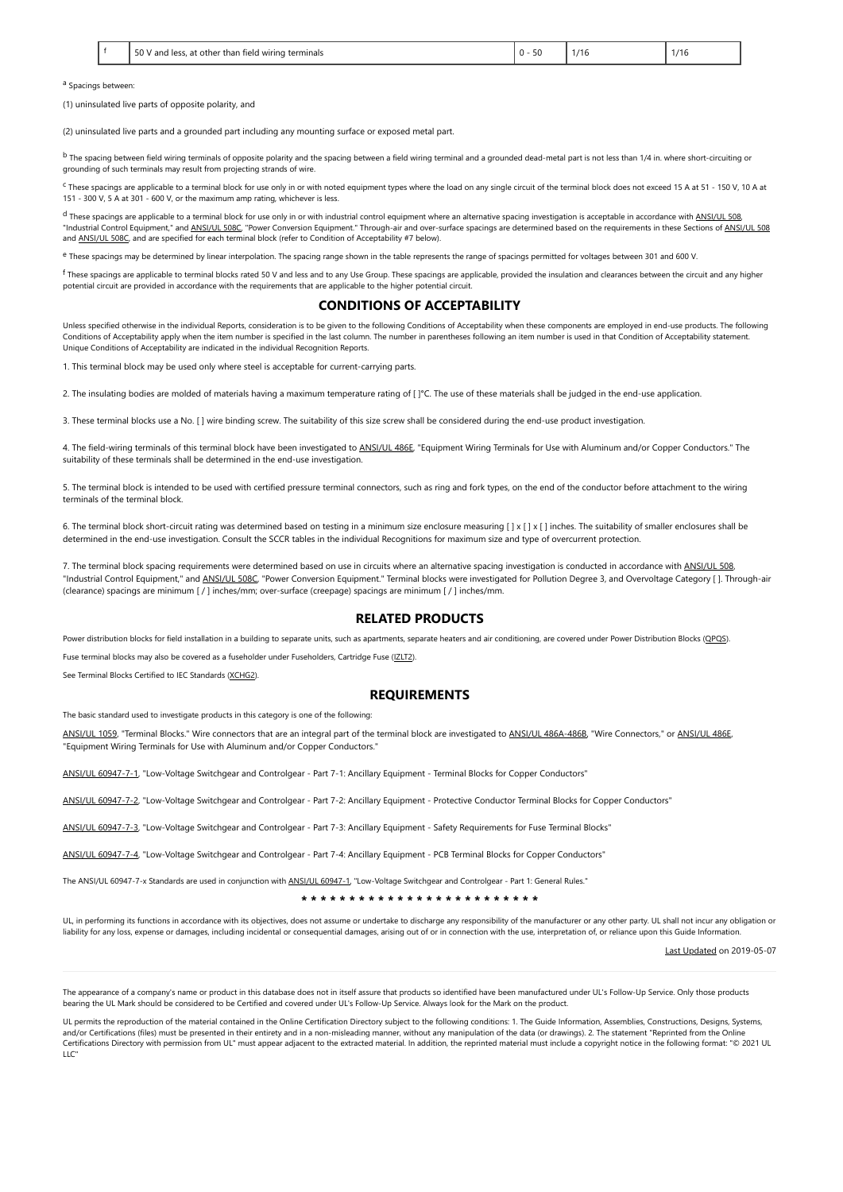|  | 50<br>่ง terminals<br>other than<br>and less<br>! wirina<br>field<br>. . | $ -$<br>ں ر | $\overline{a}$ | 4.111<br>۰. |
|--|--------------------------------------------------------------------------|-------------|----------------|-------------|
|--|--------------------------------------------------------------------------|-------------|----------------|-------------|

a Spacings between:

(1) uninsulated live parts of opposite polarity, and

(2) uninsulated live parts and a grounded part including any mounting surface or exposed metal part.

 $^{\text{b}}$  The spacing between field wiring terminals of opposite polarity and the spacing between a field wiring terminal and a grounded dead-metal part is not less than 1/4 in. where short-circuiting or grounding of such terminals may result from projecting strands of wire.

<sup>c</sup> These spacings are applicable to a terminal block for use only in or with noted equipment types where the load on any single circuit of the terminal block does not exceed 15 A at 51 - 150 V, 10 A at 151 - 300 V, 5 A at 301 - 600 V, or the maximum amp rating, whichever is less.

d These spacings are applicable to a terminal block for use only in or with industrial control equipment where an alternative spacing investigation is acceptable in accordance with [ANSI/UL 508](https://www.shopulstandards.com/ProductDetail.aspx?productId=UL508), "Industrial Control Equipment," and <u>ANSI/UL 508</u>C, "Power Conversion Equipment." Through-air and over-surface spacings are determined based on the requirements in these Sections of <u>ANSI/UL 508</u><br>"Industrial Control Equipm and [ANSI/UL 508C](https://www.shopulstandards.com/ProductDetail.aspx?productId=UL508C), and are specified for each terminal block (refer to Condition of Acceptability #7 below).

e These spacings may be determined by linear interpolation. The spacing range shown in the table represents the range of spacings permitted for voltages between 301 and 600 V.

 $^\text{f}$  These spacings are applicable to terminal blocks rated 50 V and less and to any Use Group. These spacings are applicable, provided the insulation and clearances between the circuit and any higher potential circuit are provided in accordance with the requirements that are applicable to the higher potential circuit.

### **CONDITIONS OF ACCEPTABILITY**

Unless specified otherwise in the individual Reports, consideration is to be given to the following Conditions of Acceptability when these components are employed in end-use products. The following Conditions of Acceptability apply when the item number is specified in the last column. The number in parentheses following an item number is used in that Condition of Acceptability statement. Unique Conditions of Acceptability are indicated in the individual Recognition Reports.

1. This terminal block may be used only where steel is acceptable for current-carrying parts.

2. The insulating bodies are molded of materials having a maximum temperature rating of [ ]°C. The use of these materials shall be judged in the end-use application.

3. These terminal blocks use a No. [ ] wire binding screw. The suitability of this size screw shall be considered during the end-use product investigation.

4. The field-wiring terminals of this terminal block have been investigated to [ANSI/UL 486E](https://www.shopulstandards.com/ProductDetail.aspx?productId=UL486E), "Equipment Wiring Terminals for Use with Aluminum and/or Copper Conductors." The suitability of these terminals shall be determined in the end-use investigation.

5. The terminal block is intended to be used with certified pressure terminal connectors, such as ring and fork types, on the end of the conductor before attachment to the wiring terminals of the terminal block.

6. The terminal block short-circuit rating was determined based on testing in a minimum size enclosure measuring [ ] x [ ] x [ ] inches. The suitability of smaller enclosures shall be determined in the end-use investigation. Consult the SCCR tables in the individual Recognitions for maximum size and type of overcurrent protection.

7. The terminal block spacing requirements were determined based on use in circuits where an alternative spacing investigation is conducted in accordance with [ANSI/UL 508,](https://www.shopulstandards.com/ProductDetail.aspx?productId=UL508) "Industrial Control Equipment," and [ANSI/UL 508C](https://www.shopulstandards.com/ProductDetail.aspx?productId=UL508C), "Power Conversion Equipment." Terminal blocks were investigated for Pollution Degree 3, and Overvoltage Category [ ]. Through-air (clearance) spacings are minimum [ / ] inches/mm; over-surface (creepage) spacings are minimum [ / ] inches/mm.

### **RELATED PRODUCTS**

Power distribution blocks for field installation in a building to separate units, such as apartments, separate heaters and air conditioning, are covered under Power Distribution Blocks ([QPQS](https://database.ul.com/cgi-bin/XYV/cgifind/LISEXT/1FRAME/srchres.html?collection=/data3/verity_collections/lisext&vdkhome=/data3/verity_sw_rev24/common&SORT_BY=textlines:asc,ccnshorttitle:asc&query=QPQS%3CIN%3ECCN+and+GuideInfo)).

Fuse terminal blocks may also be covered as a fuseholder under Fuseholders, Cartridge Fuse [\(IZLT2\)](https://database.ul.com/cgi-bin/XYV/cgifind/LISEXT/1FRAME/srchres.html?collection=/data3/verity_collections/lisext&vdkhome=/data3/verity_sw_rev24/common&SORT_BY=textlines:asc,ccnshorttitle:asc&query=IZLT2%3CIN%3ECCN+and+GuideInfo).

See Terminal Blocks Certified to IEC Standards ([XCHG2](https://database.ul.com/cgi-bin/XYV/cgifind/LISEXT/1FRAME/srchres.html?collection=/data3/verity_collections/lisext&vdkhome=/data3/verity_sw_rev24/common&SORT_BY=textlines:asc,ccnshorttitle:asc&query=XCHG2%3CIN%3ECCN+and+GuideInfo)).

### **REQUIREMENTS**

The basic standard used to investigate products in this category is one of the following:

[ANSI/UL 1059,](https://www.shopulstandards.com/ProductDetail.aspx?productId=UL1059) "Terminal Blocks." Wire connectors that are an integral part of the terminal block are investigated to [ANSI/UL 486A-486B](https://www.shopulstandards.com/ProductDetail.aspx?productId=UL486A-486B), "Wire Connectors," or [ANSI/UL 486E](https://www.shopulstandards.com/ProductDetail.aspx?productId=UL486E), "Equipment Wiring Terminals for Use with Aluminum and/or Copper Conductors."

[ANSI/UL 60947-7-1,](https://www.shopulstandards.com/ProductDetail.aspx?productId=UL60947-7-1) "Low-Voltage Switchgear and Controlgear - Part 7-1: Ancillary Equipment - Terminal Blocks for Copper Conductors"

[ANSI/UL 60947-7-2,](https://www.shopulstandards.com/ProductDetail.aspx?productId=UL60947-7-2) "Low-Voltage Switchgear and Controlgear - Part 7-2: Ancillary Equipment - Protective Conductor Terminal Blocks for Copper Conductors"

[ANSI/UL 60947-7-3,](https://www.shopulstandards.com/ProductDetail.aspx?productId=UL60947-7-3) "Low-Voltage Switchgear and Controlgear - Part 7-3: Ancillary Equipment - Safety Requirements for Fuse Terminal Blocks"

[ANSI/UL 60947-7-4,](https://www.shopulstandards.com/ProductDetail.aspx?productId=UL60947-7-4) "Low-Voltage Switchgear and Controlgear - Part 7-4: Ancillary Equipment - PCB Terminal Blocks for Copper Conductors"

The ANSI/UL 60947-7-x Standards are used in conjunction with [ANSI/UL 60947-1](https://www.shopulstandards.com/ProductDetail.aspx?productId=UL60947-1), "Low-Voltage Switchgear and Controlgear - Part 1: General Rules."

**\* \* \* \* \* \* \* \* \* \* \* \* \* \* \* \* \* \* \* \* \* \* \* \* \***

UL, in performing its functions in accordance with its objectives, does not assume or undertake to discharge any responsibility of the manufacturer or any other party. UL shall not incur any obligation or liability for any loss, expense or damages, including incidental or consequential damages, arising out of or in connection with the use, interpretation of, or reliance upon this Guide Information.

[Last Updated](javascript:openit() on 2019-05-07

The appearance of a company's name or product in this database does not in itself assure that products so identified have been manufactured under UL's Follow-Up Service. Only those products bearing the UL Mark should be considered to be Certified and covered under UL's Follow-Up Service. Always look for the Mark on the product.

UL permits the reproduction of the material contained in the Online Certification Directory subject to the following conditions: 1. The Guide Information, Assemblies, Constructions, Designs, Systems, and/or Certifications (files) must be presented in their entirety and in a non-misleading manner, without any manipulation of the data (or drawings). 2. The statement "Reprinted from the Online Certifications Directory with permission from UL" must appear adjacent to the extracted material. In addition, the reprinted material must include a copyright notice in the following format: "© 2021 UL  $\sqcup$ C"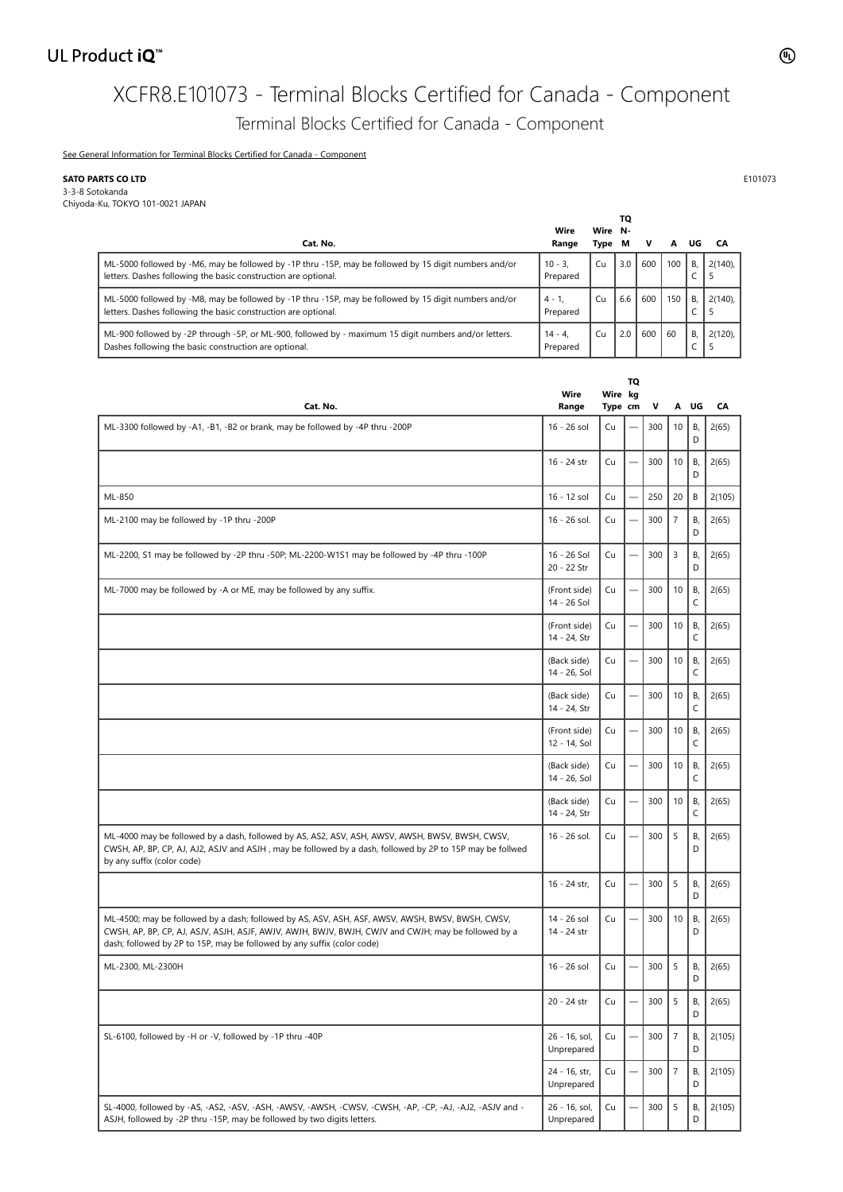## UL Product iQ<sup>™</sup>

# XCFR8.E101073 - Terminal Blocks Certified for Canada - Component Terminal Blocks Certified for Canada - Component

[See General Information for Terminal Blocks Certified for Canada - Component](https://iq.ulprospector.com/cgi-bin/XYV/template/LISEXT/1FRAME/showpage.html?&name=XCFR8.GuideInfo&ccnshorttitle=Terminal+Blocks+Certified+for+Canada+-+Component&objid=1074222406&cfgid=1073741824&version=versionless&parent_id=1073995513&sequence=1)

## **SATO PARTS CO LTD** E101073

3-3-8 Sotokanda Chiyoda-Ku, TOKYO 101-0021 JAPAN

|                                                                                                                                                                         |                       |                 | ΤО  |     |     |    |            |
|-------------------------------------------------------------------------------------------------------------------------------------------------------------------------|-----------------------|-----------------|-----|-----|-----|----|------------|
| Cat. No.                                                                                                                                                                | Wire<br>Range         | Wire N-<br>Type | M   | v   | A   | UG | CA         |
| ML-5000 followed by -M6, may be followed by -1P thru -15P, may be followed by 15 digit numbers and/or<br>letters. Dashes following the basic construction are optional. | $10 - 3.$<br>Prepared | Cu              | 3.0 | 600 | 100 | B. | $2(140)$ . |
| ML-5000 followed by -M8, may be followed by -1P thru -15P, may be followed by 15 digit numbers and/or<br>letters. Dashes following the basic construction are optional. | $4 - 1$ .<br>Prepared | Cu              | 6.6 | 600 | 150 | B. | $2(140)$ . |
| ML-900 followed by -2P through -5P, or ML-900, followed by - maximum 15 digit numbers and/or letters.<br>Dashes following the basic construction are optional.          | $14 - 4$<br>Prepared  | Cu              | 2.0 | 600 | 60  | B. | $2(120)$ . |

| Cat. No.                                                                                                                                                                                                                                                                           | Wire<br>Range                | Wire kg<br>Type cm | TQ                       | V   |                | A UG    | CA     |
|------------------------------------------------------------------------------------------------------------------------------------------------------------------------------------------------------------------------------------------------------------------------------------|------------------------------|--------------------|--------------------------|-----|----------------|---------|--------|
| ML-3300 followed by -A1, -B1, -B2 or brank, may be followed by -4P thru -200P                                                                                                                                                                                                      | 16 - 26 sol                  | Cu                 |                          | 300 | 10             | Β,<br>D | 2(65)  |
|                                                                                                                                                                                                                                                                                    | 16 - 24 str                  | Cu                 |                          | 300 | 10             | В,<br>D | 2(65)  |
| ML-850                                                                                                                                                                                                                                                                             | 16 - 12 sol                  | Cu                 |                          | 250 | 20             | B       | 2(105) |
| ML-2100 may be followed by -1P thru -200P                                                                                                                                                                                                                                          | 16 - 26 sol.                 | Cu                 |                          | 300 | $\overline{7}$ | В,<br>D | 2(65)  |
| ML-2200, S1 may be followed by -2P thru -50P; ML-2200-W1S1 may be followed by -4P thru -100P                                                                                                                                                                                       | 16 - 26 Sol<br>20 - 22 Str   | Cu                 |                          | 300 | 3              | B,<br>D | 2(65)  |
| ML-7000 may be followed by -A or ME, may be followed by any suffix.                                                                                                                                                                                                                | (Front side)<br>14 - 26 Sol  | Cu                 |                          | 300 | 10             | В,<br>C | 2(65)  |
|                                                                                                                                                                                                                                                                                    | (Front side)<br>14 - 24, Str | Cu                 |                          | 300 | 10             | В,<br>C | 2(65)  |
|                                                                                                                                                                                                                                                                                    | (Back side)<br>14 - 26, Sol  | Cu                 | $\qquad \qquad$          | 300 | 10             | В,<br>C | 2(65)  |
|                                                                                                                                                                                                                                                                                    | (Back side)<br>14 - 24, Str  | Cu                 | $\overline{\phantom{0}}$ | 300 | 10             | В,<br>C | 2(65)  |
|                                                                                                                                                                                                                                                                                    | (Front side)<br>12 - 14, Sol | Cu                 |                          | 300 | 10             | В,<br>C | 2(65)  |
|                                                                                                                                                                                                                                                                                    | (Back side)<br>14 - 26, Sol  | Cu                 |                          | 300 | 10             | B,<br>C | 2(65)  |
|                                                                                                                                                                                                                                                                                    | (Back side)<br>14 - 24, Str  | Cu                 |                          | 300 | 10             | В,<br>C | 2(65)  |
| ML-4000 may be followed by a dash, followed by AS, AS2, ASV, ASH, AWSV, AWSH, BWSV, BWSH, CWSV,<br>CWSH, AP, BP, CP, AJ, AJ2, ASJV and ASJH, may be followed by a dash, followed by 2P to 15P may be follwed<br>by any suffix (color code)                                         | 16 - 26 sol.                 | Cu                 |                          | 300 | 5              | В,<br>D | 2(65)  |
|                                                                                                                                                                                                                                                                                    | 16 - 24 str,                 | Cu                 |                          | 300 | 5              | В,<br>D | 2(65)  |
| ML-4500; may be followed by a dash; followed by AS, ASV, ASH, ASF, AWSV, AWSH, BWSV, BWSH, CWSV,<br>CWSH, AP, BP, CP, AJ, ASJV, ASJH, ASJF, AWJV, AWJH, BWJV, BWJH, CWJV and CWJH; may be followed by a<br>dash; followed by 2P to 15P, may be followed by any suffix (color code) | 14 - 26 sol<br>14 - 24 str   | Cu                 |                          | 300 | 10             | В,<br>D | 2(65)  |
| ML-2300, ML-2300H                                                                                                                                                                                                                                                                  | 16 - 26 sol                  | Cu                 |                          | 300 | 5              | В,<br>D | 2(65)  |
|                                                                                                                                                                                                                                                                                    | 20 - 24 str                  | Cu                 |                          | 300 | 5              | В,<br>D | 2(65)  |
| SL-6100, followed by -H or -V, followed by -1P thru -40P                                                                                                                                                                                                                           | 26 - 16, sol,<br>Unprepared  | Cu                 |                          | 300 | $\overline{7}$ | Β,<br>D | 2(105) |
|                                                                                                                                                                                                                                                                                    | 24 - 16, str,<br>Unprepared  | Cu                 |                          | 300 | $\overline{7}$ | В,<br>D | 2(105) |
| SL-4000, followed by -AS, -AS2, -ASV, -ASH, -AWSV, -AWSH, -CWSV, -CWSH, -AP, -CP, -AJ, -AJ2, -ASJV and -<br>ASJH, followed by -2P thru -15P, may be followed by two digits letters.                                                                                                | 26 - 16, sol,<br>Unprepared  | Cu                 |                          | 300 | 5              | В,<br>D | 2(105) |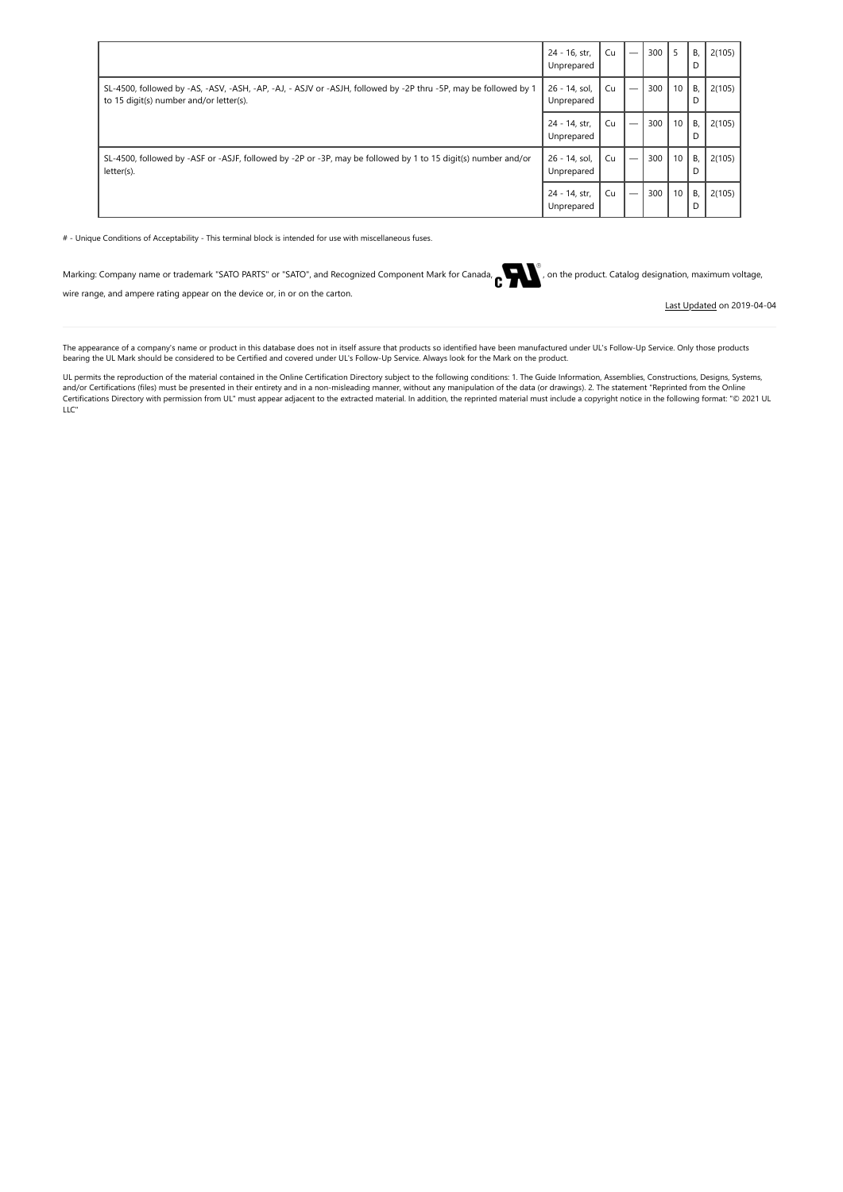|                                                                                                                                                            | 24 - 16, str,<br>Unprepared | Cu |                          | 300 | -5 | B.<br>D | 2(105) |
|------------------------------------------------------------------------------------------------------------------------------------------------------------|-----------------------------|----|--------------------------|-----|----|---------|--------|
| SL-4500, followed by -AS, -ASV, -ASH, -AP, -AJ, - ASJV or -ASJH, followed by -2P thru -5P, may be followed by 1<br>to 15 digit(s) number and/or letter(s). | 26 - 14, sol,<br>Unprepared | Cu |                          | 300 | 10 | B.<br>D | 2(105) |
|                                                                                                                                                            | 24 - 14, str.<br>Unprepared | Cu |                          | 300 | 10 | B,<br>D | 2(105) |
| SL-4500, followed by -ASF or -ASJF, followed by -2P or -3P, may be followed by 1 to 15 digit(s) number and/or<br>letter(s).                                | 26 - 14, sol,<br>Unprepared | Cu | $\overline{\phantom{0}}$ | 300 | 10 | B.<br>D | 2(105) |
|                                                                                                                                                            | 24 - 14, str,<br>Unprepared | Cu | $\overline{\phantom{0}}$ | 300 | 10 | B,<br>D | 2(105) |

# - Unique Conditions of Acceptability - This terminal block is intended for use with miscellaneous fuses.

| arking: Company name or trademark "SATO PARTS" or "SATO", and Recognized Component Mark for Canada, entries to the product. Catalog designation, maximum voltand |
|------------------------------------------------------------------------------------------------------------------------------------------------------------------|
| wire range, and ampere rating appear on the device or, in or on the carton.                                                                                      |

[Last Updated](javascript:openit() on 2019-04-04

The appearance of a company's name or product in this database does not in itself assure that products so identified have been manufactured under UL's Follow-Up Service. Only those products<br>bearing the UL Mark should be co

UL permits the reproduction of the material contained in the Online Certification Directory subject to the following conditions: 1. The Guide Information, Assemblies, Constructions, Designs, Systems, and/or Certifications (files) must be presented in their entirety and in a non-misleading manner, without any manipulation of the data (or drawings). 2. The statement "Reprinted from the Online<br>Certifications Directory wit LLC"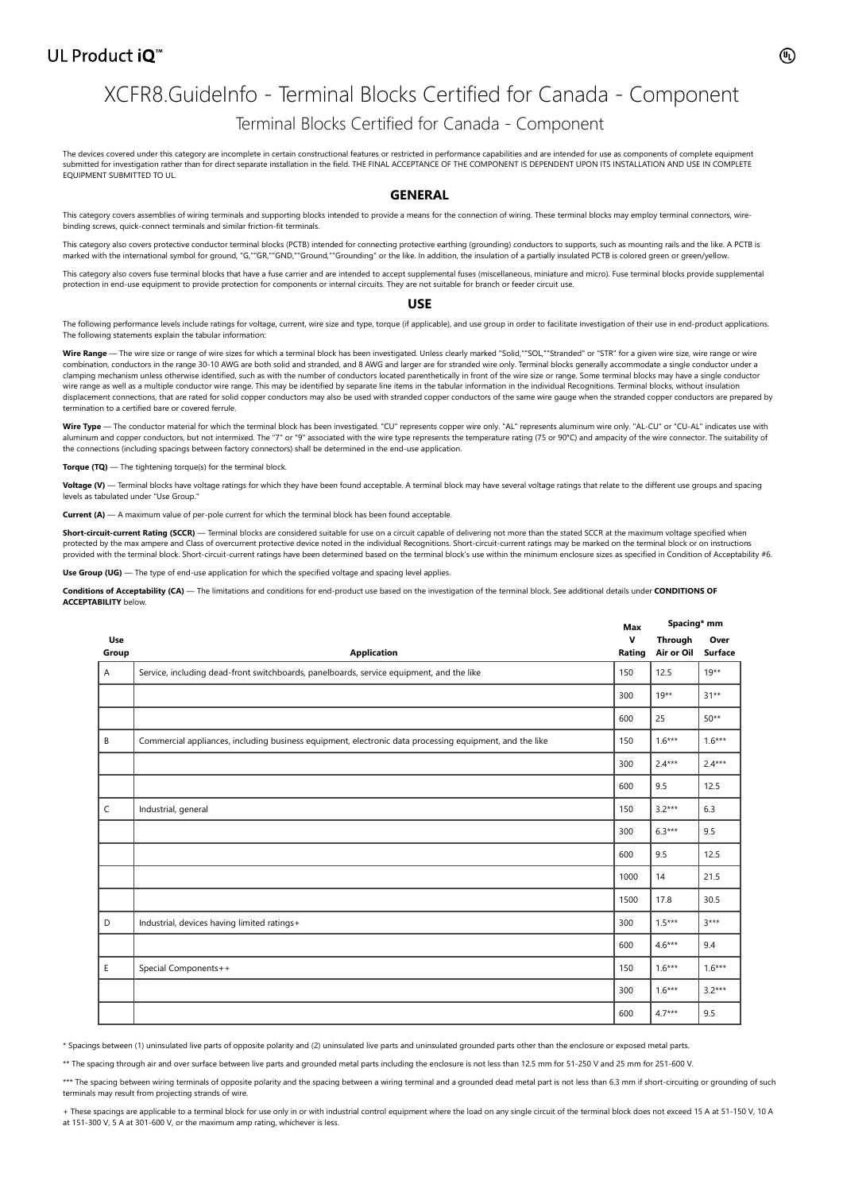## UL Product iQ<sup>™</sup>

## XCFR8.GuideInfo - Terminal Blocks Certified for Canada - Component Terminal Blocks Certified for Canada - Component

The devices covered under this category are incomplete in certain constructional features or restricted in performance capabilities and are intended for use as components of complete equipment<br>submitted for investigation r EQUIPMENT SUBMITTED TO UL.

#### **GENERAL**

This category covers assemblies of wiring terminals and supporting blocks intended to provide a means for the connection of wiring. These terminal blocks may employ terminal connectors, wirebinding screws, quick-connect terminals and similar friction-fit terminals.

This category also covers protective conductor terminal blocks (PCTB) intended for connecting protective earthing (grounding) conductors to supports, such as mounting rails and the like. A PCTB is marked with the international symbol for ground, "G,""GR,""GND,""Ground,""Grounding" or the like. In addition, the insulation of a partially insulated PCTB is colored green or green/yellow.

This category also covers fuse terminal blocks that have a fuse carrier and are intended to accept supplemental fuses (miscellaneous, miniature and micro). Fuse terminal blocks provide supplemental protection in end-use equipment to provide protection for components or internal circuits. They are not suitable for branch or feeder circuit use.

#### **USE**

The following performance levels include ratings for voltage, current, wire size and type, torque (if applicable), and use group in order to facilitate investigation of their use in end-product applications. The following statements explain the tabular information:

**Wire Range** — The wire size or range of wire sizes for which a terminal block has been investigated. Unless clearly marked "Solid,""SOL,""Stranded" or "STR" for a given wire size, wire range or wire combination, conductors in the range 30-10 AWG are both solid and stranded, and 8 AWG and larger are for stranded wire only. Terminal blocks generally accommodate a single conductor under a clamping mechanism unless otherwise identified, such as with the number of conductors located parenthetically in front of the wire size or range. Some terminal blocks may have a single conductor<br>wire range as well as a mul displacement connections, that are rated for solid copper conductors may also be used with stranded copper conductors of the same wire gauge when the stranded copper conductors are prepared by termination to a certified bare or covered ferrule.

Wire Type - The conductor material for which the terminal block has been investigated. "CU" represents copper wire only. "AL" represents aluminum wire only. "AL-CU" or "CU-AL" indicates use with aluminum and copper conductors, but not intermixed. The "7" or "9" associated with the wire type represents the temperature rating (75 or 90°C) and ampacity of the wire connector. The suitability of the connections (including spacings between factory connectors) shall be determined in the end-use application.

**Torque (TQ)** — The tightening torque(s) for the terminal block

**Voltage (V)** — Terminal blocks have voltage ratings for which they have been found acceptable. A terminal block may have several voltage ratings that relate to the different use groups and spacing levels as tabulated under "Use Group."

**Current (A)** — A maximum value of per-pole current for which the terminal block has been found acceptable

Short-circuit-current Rating (SCCR) — Terminal blocks are considered suitable for use on a circuit capable of delivering not more than the stated SCCR at the maximum voltage specified when protected by the max ampere and Class of overcurrent protective device noted in the individual Recognitions. Short-circuit-current ratings may be marked on the terminal block or on instructions provided with the terminal block. Short-circuit-current ratings have been determined based on the terminal block's use within the minimum enclosure sizes as specified in Condition of Acceptability #6.

Use Group (UG) — The type of end-use application for which the specified voltage and spacing level applies.

**Conditions of Acceptability (CA)** — The limitations and conditions for end-product use based on the investigation of the terminal block. See additional details under **CONDITIONS OF ACCEPTABILITY** below.

|              |                                                                                                         |             | Spacing* mm           |                        |
|--------------|---------------------------------------------------------------------------------------------------------|-------------|-----------------------|------------------------|
| Use<br>Group | <b>Application</b>                                                                                      | v<br>Rating | Through<br>Air or Oil | Over<br><b>Surface</b> |
| Α            | Service, including dead-front switchboards, panelboards, service equipment, and the like                | 150         | 12.5                  | $19***$                |
|              |                                                                                                         | 300         | $19**$                | $31**$                 |
|              |                                                                                                         | 600         | 25                    | $50**$                 |
| B            | Commercial appliances, including business equipment, electronic data processing equipment, and the like | 150         | $1.6***$              | $1.6***$               |
|              |                                                                                                         | 300         | $2.4***$              | $2.4***$               |
|              |                                                                                                         | 600         | 9.5                   | 12.5                   |
| C            | Industrial, general                                                                                     | 150         | $3.2***$              | 6.3                    |
|              |                                                                                                         | 300         | $6.3***$              | 9.5                    |
|              |                                                                                                         | 600         | 9.5                   | 12.5                   |
|              |                                                                                                         | 1000        | 14                    | 21.5                   |
|              |                                                                                                         | 1500        | 17.8                  | 30.5                   |
| D            | Industrial, devices having limited ratings+                                                             | 300         | $1.5***$              | $3***$                 |
|              |                                                                                                         | 600         | $4.6***$              | 9.4                    |
| E            | Special Components++                                                                                    | 150         | $1.6***$              | $1.6***$               |
|              |                                                                                                         | 300         | $1.6***$              | $3.2***$               |
|              |                                                                                                         | 600         | $4.7***$              | 9.5                    |

\* Spacings between (1) uninsulated live parts of opposite polarity and (2) uninsulated live parts and uninsulated grounded parts other than the enclosure or exposed metal parts.

\*\* The spacing through air and over surface between live parts and grounded metal parts including the enclosure is not less than 12.5 mm for 51-250 V and 25 mm for 251-600 V.

\*\*\* The spacing between wiring terminals of opposite polarity and the spacing between a wiring terminal and a grounded dead metal part is not less than 6.3 mm if short-circuiting or grounding of such terminals may result from projecting strands of wire.

These spacings are applicable to a terminal block for use only in or with industrial control equipment where the load on any single circuit of the terminal block does not exceed 15 A at 51-150 V, 10 A at 151-300 V, 5 A at 301-600 V, or the maximum amp rating, whichever is less.